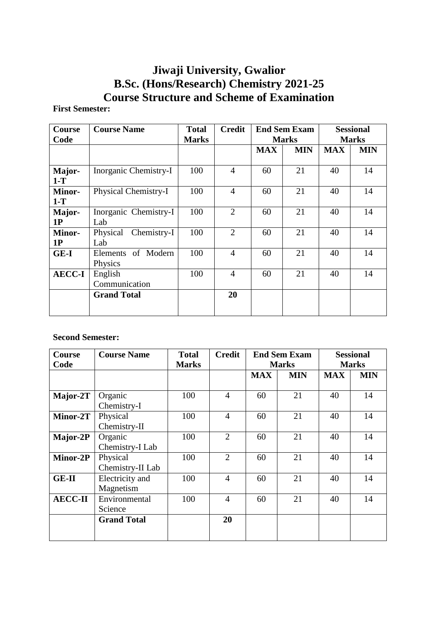# **Jiwaji University, Gwalior B.Sc. (Hons/Research) Chemistry 2021-25 Course Structure and Scheme of Examination**

# **First Semester:**

| <b>Course</b><br>Code  | <b>Course Name</b>             | <b>Total</b><br><b>Marks</b> | <b>Credit</b>  | <b>End Sem Exam</b><br><b>Marks</b> |            | <b>Sessional</b><br><b>Marks</b> |            |
|------------------------|--------------------------------|------------------------------|----------------|-------------------------------------|------------|----------------------------------|------------|
|                        |                                |                              |                | <b>MAX</b>                          | <b>MIN</b> | <b>MAX</b>                       | <b>MIN</b> |
| Major-<br>$1-T$        | Inorganic Chemistry-I          | 100                          | $\overline{4}$ | 60                                  | 21         | 40                               | 14         |
| <b>Minor-</b><br>$1-T$ | Physical Chemistry-I           | 100                          | $\overline{4}$ | 60                                  | 21         | 40                               | 14         |
| Major-<br>1P           | Inorganic Chemistry-I<br>Lab   | 100                          | $\overline{2}$ | 60                                  | 21         | 40                               | 14         |
| <b>Minor-</b><br>1P    | Chemistry-I<br>Physical<br>Lab | 100                          | $\overline{2}$ | 60                                  | 21         | 40                               | 14         |
| $GE-I$                 | Elements of Modern<br>Physics  | 100                          | $\overline{4}$ | 60                                  | 21         | 40                               | 14         |
| <b>AECC-I</b>          | English<br>Communication       | 100                          | $\overline{4}$ | 60                                  | 21         | 40                               | 14         |
|                        | <b>Grand Total</b>             |                              | 20             |                                     |            |                                  |            |

# **Second Semester:**

| <b>Course</b>  | <b>Course Name</b> | <b>Total</b> | <b>Credit</b>  | <b>End Sem Exam</b> |              | <b>Sessional</b> |            |
|----------------|--------------------|--------------|----------------|---------------------|--------------|------------------|------------|
| Code           |                    | <b>Marks</b> |                |                     | <b>Marks</b> | <b>Marks</b>     |            |
|                |                    |              |                | <b>MAX</b>          | <b>MIN</b>   | <b>MAX</b>       | <b>MIN</b> |
|                |                    |              |                |                     |              |                  |            |
| Major-2T       | Organic            | 100          | $\overline{4}$ | 60                  | 21           | 40               | 14         |
|                | Chemistry-I        |              |                |                     |              |                  |            |
| Minor-2T       | Physical           | 100          | $\overline{4}$ | 60                  | 21           | 40               | 14         |
|                | Chemistry-II       |              |                |                     |              |                  |            |
| Major-2P       | Organic            | 100          | $\overline{2}$ | 60                  | 21           | 40               | 14         |
|                | Chemistry-I Lab    |              |                |                     |              |                  |            |
| Minor-2P       | Physical           | 100          | $\overline{2}$ | 60                  | 21           | 40               | 14         |
|                | Chemistry-II Lab   |              |                |                     |              |                  |            |
| $GE-II$        | Electricity and    | 100          | $\overline{4}$ | 60                  | 21           | 40               | 14         |
|                | Magnetism          |              |                |                     |              |                  |            |
| <b>AECC-II</b> | Environmental      | 100          | $\overline{4}$ | 60                  | 21           | 40               | 14         |
|                | Science            |              |                |                     |              |                  |            |
|                | <b>Grand Total</b> |              | 20             |                     |              |                  |            |
|                |                    |              |                |                     |              |                  |            |
|                |                    |              |                |                     |              |                  |            |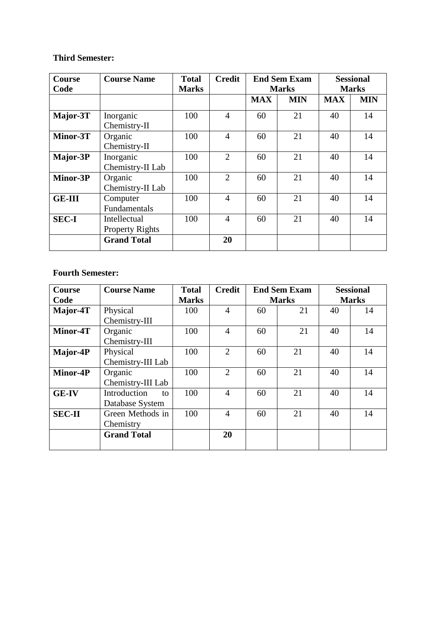# **Third Semester:**

| <b>Course</b> | <b>Course Name</b>                     | <b>Total</b> | <b>Credit</b>  | <b>End Sem Exam</b> |              | <b>Sessional</b> |            |
|---------------|----------------------------------------|--------------|----------------|---------------------|--------------|------------------|------------|
| Code          |                                        | <b>Marks</b> |                |                     | <b>Marks</b> | <b>Marks</b>     |            |
|               |                                        |              |                | <b>MAX</b>          | <b>MIN</b>   | <b>MAX</b>       | <b>MIN</b> |
| Major-3T      | Inorganic<br>Chemistry-II              | 100          | $\overline{4}$ | 60                  | 21           | 40               | 14         |
| Minor-3T      | Organic<br>Chemistry-II                | 100          | 4              | 60                  | 21           | 40               | 14         |
| Major-3P      | Inorganic<br>Chemistry-II Lab          | 100          | $\overline{2}$ | 60                  | 21           | 40               | 14         |
| Minor-3P      | Organic<br>Chemistry-II Lab            | 100          | 2              | 60                  | 21           | 40               | 14         |
| <b>GE-III</b> | Computer<br>Fundamentals               | 100          | 4              | 60                  | 21           | 40               | 14         |
| <b>SEC-I</b>  | Intellectual<br><b>Property Rights</b> | 100          | $\overline{4}$ | 60                  | 21           | 40               | 14         |
|               | <b>Grand Total</b>                     |              | 20             |                     |              |                  |            |

# **Fourth Semester:**

| <b>Course</b> | <b>Course Name</b> | <b>Total</b> | <b>Credit</b>  | <b>End Sem Exam</b> |              | <b>Sessional</b> |    |
|---------------|--------------------|--------------|----------------|---------------------|--------------|------------------|----|
| Code          |                    | <b>Marks</b> |                |                     | <b>Marks</b> | <b>Marks</b>     |    |
| Major-4T      | Physical           | 100          | $\overline{4}$ | 60                  | 21           | 40               | 14 |
|               | Chemistry-III      |              |                |                     |              |                  |    |
| Minor-4T      | Organic            | 100          | 4              | 60                  | 21           | 40               | 14 |
|               | Chemistry-III      |              |                |                     |              |                  |    |
| Major-4P      | Physical           | 100          | 2              | 60                  | 21           | 40               | 14 |
|               | Chemistry-III Lab  |              |                |                     |              |                  |    |
| Minor-4P      | Organic            | 100          | $\overline{2}$ | 60                  | 21           | 40               | 14 |
|               | Chemistry-III Lab  |              |                |                     |              |                  |    |
| <b>GE-IV</b>  | Introduction<br>to | 100          | 4              | 60                  | 21           | 40               | 14 |
|               | Database System    |              |                |                     |              |                  |    |
| <b>SEC-II</b> | Green Methods in   | 100          | 4              | 60                  | 21           | 40               | 14 |
|               | Chemistry          |              |                |                     |              |                  |    |
|               | <b>Grand Total</b> |              | 20             |                     |              |                  |    |
|               |                    |              |                |                     |              |                  |    |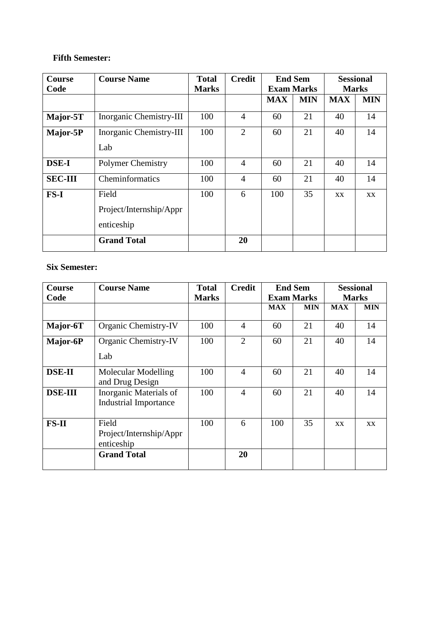# **Fifth Semester:**

| <b>Course</b>  | <b>Course Name</b>       | <b>Total</b> | <b>Credit</b>  |            | <b>End Sem</b>    | <b>Sessional</b> |              |
|----------------|--------------------------|--------------|----------------|------------|-------------------|------------------|--------------|
| Code           |                          | <b>Marks</b> |                |            | <b>Exam Marks</b> |                  | <b>Marks</b> |
|                |                          |              |                | <b>MAX</b> | <b>MIN</b>        | <b>MAX</b>       | <b>MIN</b>   |
| Major-5T       | Inorganic Chemistry-III  | 100          | $\overline{4}$ | 60         | 21                | 40               | 14           |
| Major-5P       | Inorganic Chemistry-III  | 100          | $\overline{2}$ | 60         | 21                | 40               | 14           |
|                | Lab                      |              |                |            |                   |                  |              |
| <b>DSE-I</b>   | <b>Polymer Chemistry</b> | 100          | $\overline{4}$ | 60         | 21                | 40               | 14           |
| <b>SEC-III</b> | Cheminformatics          | 100          | $\overline{4}$ | 60         | 21                | 40               | 14           |
| FS-I           | Field                    | 100          | 6              | 100        | 35                | XX               | XX.          |
|                | Project/Internship/Appr  |              |                |            |                   |                  |              |
|                | enticeship               |              |                |            |                   |                  |              |
|                | <b>Grand Total</b>       |              | 20             |            |                   |                  |              |

# **Six Semester:**

| <b>Course</b>  | <b>Course Name</b>                                     | <b>Total</b> | <b>Credit</b>  | <b>End Sem</b> |                   | <b>Sessional</b> |              |
|----------------|--------------------------------------------------------|--------------|----------------|----------------|-------------------|------------------|--------------|
| Code           |                                                        | <b>Marks</b> |                |                | <b>Exam Marks</b> |                  | <b>Marks</b> |
|                |                                                        |              |                | <b>MAX</b>     | <b>MIN</b>        | <b>MAX</b>       | <b>MIN</b>   |
| Major-6T       | Organic Chemistry-IV                                   | 100          | $\overline{4}$ | 60             | 21                | 40               | 14           |
| Major-6P       | Organic Chemistry-IV                                   | 100          | $\overline{2}$ | 60             | 21                | 40               | 14           |
|                | Lab                                                    |              |                |                |                   |                  |              |
| <b>DSE-II</b>  | Molecular Modelling<br>and Drug Design                 | 100          | 4              | 60             | 21                | 40               | 14           |
| <b>DSE-III</b> | Inorganic Materials of<br><b>Industrial Importance</b> | 100          | 4              | 60             | 21                | 40               | 14           |
| $FS-II$        | Field<br>Project/Internship/Appr<br>enticeship         | 100          | 6              | 100            | 35                | <b>XX</b>        | <b>XX</b>    |
|                | <b>Grand Total</b>                                     |              | 20             |                |                   |                  |              |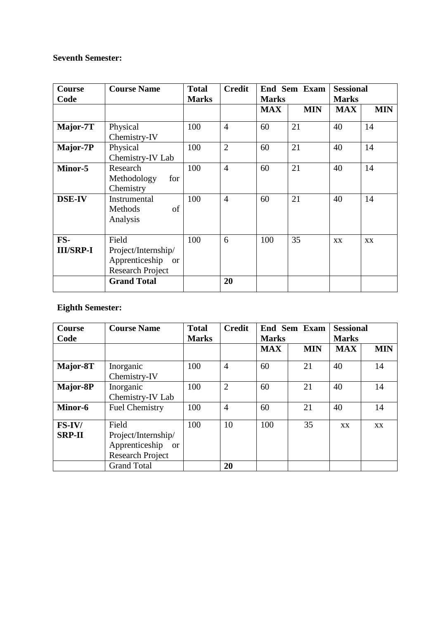# **Seventh Semester:**

| Course<br>Code          | <b>Course Name</b>                                                           | <b>Total</b><br><b>Marks</b> | <b>Credit</b>  | <b>Marks</b> | End Sem Exam | <b>Sessional</b><br><b>Marks</b> |            |  |
|-------------------------|------------------------------------------------------------------------------|------------------------------|----------------|--------------|--------------|----------------------------------|------------|--|
|                         |                                                                              |                              |                | <b>MAX</b>   | <b>MIN</b>   | <b>MAX</b>                       | <b>MIN</b> |  |
| Major-7T                | Physical<br>Chemistry-IV                                                     | 100                          | $\overline{4}$ | 60           | 21           | 40                               | 14         |  |
| Major-7P                | Physical<br>Chemistry-IV Lab                                                 | 100                          | $\overline{2}$ | 60           | 21           | 40                               | 14         |  |
| Minor-5                 | Research<br>Methodology<br>for<br>Chemistry                                  | 100                          | $\overline{4}$ | 60           | 21           | 40                               | 14         |  |
| <b>DSE-IV</b>           | Instrumental<br>of<br>Methods<br>Analysis                                    | 100                          | $\overline{4}$ | 60           | 21           | 40                               | 14         |  |
| FS-<br><b>III/SRP-I</b> | Field<br>Project/Internship/<br>Apprenticeship or<br><b>Research Project</b> | 100                          | 6              | 100          | 35           | XX                               | XX         |  |
|                         | <b>Grand Total</b>                                                           |                              | 20             |              |              |                                  |            |  |

# **Eighth Semester:**

| <b>Course</b><br>Code     | <b>Course Name</b>                                                                         | <b>Total</b><br><b>Marks</b> | <b>Credit</b>  | <b>End Sem Exam</b><br><b>Marks</b> |            | <b>Sessional</b><br><b>Marks</b> |            |
|---------------------------|--------------------------------------------------------------------------------------------|------------------------------|----------------|-------------------------------------|------------|----------------------------------|------------|
|                           |                                                                                            |                              |                | <b>MAX</b>                          | <b>MIN</b> | <b>MAX</b>                       | <b>MIN</b> |
| Major-8T                  | Inorganic<br>Chemistry-IV                                                                  | 100                          | $\overline{4}$ | 60                                  | 21         | 40                               | 14         |
| Major-8P                  | Inorganic<br>Chemistry-IV Lab                                                              | 100                          | $\overline{2}$ | 60                                  | 21         | 40                               | 14         |
| Minor-6                   | <b>Fuel Chemistry</b>                                                                      | 100                          | $\overline{4}$ | 60                                  | 21         | 40                               | 14         |
| $FS-IV/$<br><b>SRP-II</b> | Field<br>Project/Internship/<br>Apprenticeship<br><sub>or</sub><br><b>Research Project</b> | 100                          | 10             | 100                                 | 35         | XX                               | XX         |
|                           | <b>Grand Total</b>                                                                         |                              | 20             |                                     |            |                                  |            |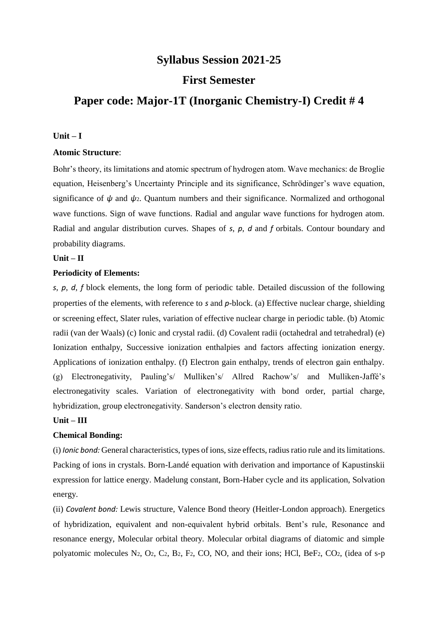# **Syllabus Session 2021-25**

# **First Semester**

# **Paper code: Major-1T (Inorganic Chemistry-I) Credit # 4**

#### **Unit – I**

#### **Atomic Structure**:

Bohr's theory, its limitations and atomic spectrum of hydrogen atom. Wave mechanics: de Broglie equation, Heisenberg's Uncertainty Principle and its significance, Schrödinger's wave equation, significance of  $\psi$  and  $\psi$ <sup>2</sup>. Quantum numbers and their significance. Normalized and orthogonal wave functions. Sign of wave functions. Radial and angular wave functions for hydrogen atom. Radial and angular distribution curves. Shapes of *s*, *p*, *d* and *f* orbitals. Contour boundary and probability diagrams.

#### **Unit – II**

#### **Periodicity of Elements:**

*s*, *p*, *d*, *f* block elements, the long form of periodic table. Detailed discussion of the following properties of the elements, with reference to *s* and *p*-block. (a) Effective nuclear charge, shielding or screening effect, Slater rules, variation of effective nuclear charge in periodic table. (b) Atomic radii (van der Waals) (c) Ionic and crystal radii. (d) Covalent radii (octahedral and tetrahedral) (e) Ionization enthalpy, Successive ionization enthalpies and factors affecting ionization energy. Applications of ionization enthalpy. (f) Electron gain enthalpy, trends of electron gain enthalpy. (g) Electronegativity, Pauling's/ Mulliken's/ Allred Rachow's/ and Mulliken-Jaffé's electronegativity scales. Variation of electronegativity with bond order, partial charge, hybridization, group electronegativity. Sanderson's electron density ratio.

#### **Unit – III**

#### **Chemical Bonding:**

(i) *Ionic bond:* General characteristics, types of ions, size effects, radius ratio rule and its limitations. Packing of ions in crystals. Born-Landé equation with derivation and importance of Kapustinskii expression for lattice energy. Madelung constant, Born-Haber cycle and its application, Solvation energy.

(ii) *Covalent bond:* Lewis structure, Valence Bond theory (Heitler-London approach). Energetics of hybridization, equivalent and non-equivalent hybrid orbitals. Bent's rule, Resonance and resonance energy, Molecular orbital theory. Molecular orbital diagrams of diatomic and simple polyatomic molecules N2, O2, C2, B2, F2, CO, NO, and their ions; HCl, BeF2, CO2, (idea of s-p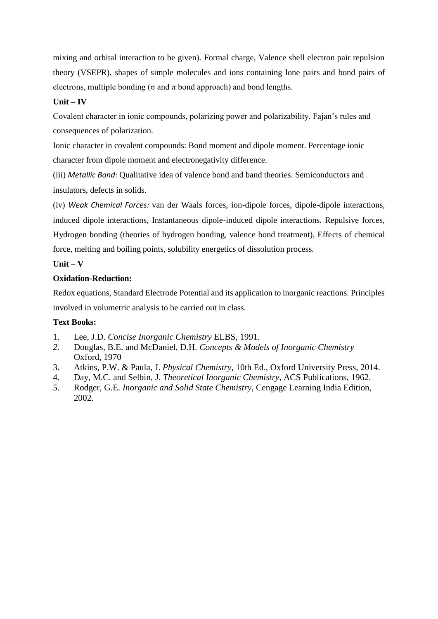mixing and orbital interaction to be given). Formal charge, Valence shell electron pair repulsion theory (VSEPR), shapes of simple molecules and ions containing lone pairs and bond pairs of electrons, multiple bonding ( $\sigma$  and  $\pi$  bond approach) and bond lengths.

# **Unit – IV**

Covalent character in ionic compounds, polarizing power and polarizability. Fajan's rules and consequences of polarization.

Ionic character in covalent compounds: Bond moment and dipole moment. Percentage ionic character from dipole moment and electronegativity difference.

(iii) *Metallic Bond:* Qualitative idea of valence bond and band theories. Semiconductors and insulators, defects in solids.

(iv) *Weak Chemical Forces:* van der Waals forces, ion-dipole forces, dipole-dipole interactions, induced dipole interactions, Instantaneous dipole-induced dipole interactions. Repulsive forces, Hydrogen bonding (theories of hydrogen bonding, valence bond treatment), Effects of chemical force, melting and boiling points, solubility energetics of dissolution process.

## **Unit – V**

# **Oxidation-Reduction:**

Redox equations, Standard Electrode Potential and its application to inorganic reactions. Principles involved in volumetric analysis to be carried out in class.

# **Text Books:**

- 1. Lee, J.D. *Concise Inorganic Chemistry* ELBS, 1991.
- *2.* Douglas, B.E. and McDaniel, D.H. *Concepts & Models of Inorganic Chemistry* Oxford, 1970
- 3. Atkins, P.W. & Paula, J. *Physical Chemistry*, 10th Ed., Oxford University Press, 2014.
- 4. Day, M.C. and Selbin, J. *Theoretical Inorganic Chemistry*, ACS Publications, 1962.
- 5. Rodger, G.E. *Inorganic and Solid State Chemistry*, Cengage Learning India Edition, 2002.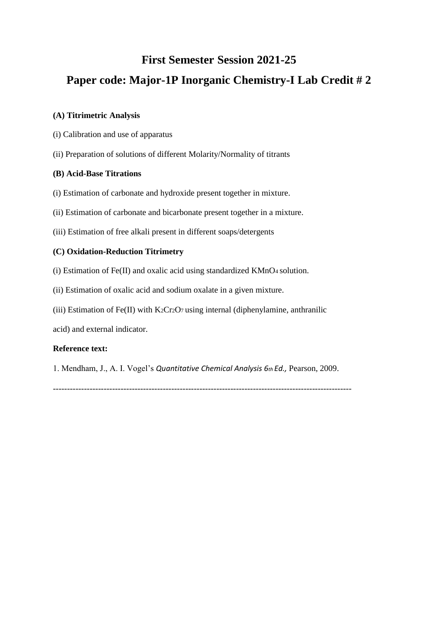# **First Semester Session 2021-25**

# **Paper code: Major-1P Inorganic Chemistry-I Lab Credit # 2**

### **(A) Titrimetric Analysis**

- (i) Calibration and use of apparatus
- (ii) Preparation of solutions of different Molarity/Normality of titrants

### **(B) Acid-Base Titrations**

- (i) Estimation of carbonate and hydroxide present together in mixture.
- (ii) Estimation of carbonate and bicarbonate present together in a mixture.
- (iii) Estimation of free alkali present in different soaps/detergents

## **(C) Oxidation-Reduction Titrimetry**

- (i) Estimation of Fe(II) and oxalic acid using standardized KMnO4 solution.
- (ii) Estimation of oxalic acid and sodium oxalate in a given mixture.
- (iii) Estimation of Fe(II) with  $K_2Cr_2O_7$  using internal (diphenylamine, anthranilic

acid) and external indicator.

### **Reference text:**

1. Mendham, J., A. I. Vogel's *Quantitative Chemical Analysis 6th Ed.,* Pearson, 2009.

----------------------------------------------------------------------------------------------------------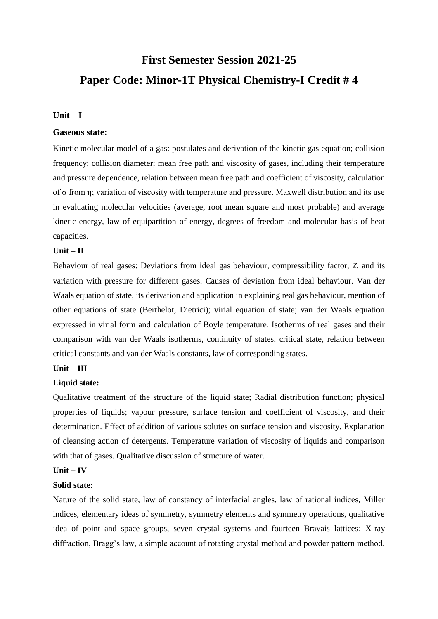# **First Semester Session 2021-25 Paper Code: Minor-1T Physical Chemistry-I Credit # 4**

#### $Unit - I$

#### **Gaseous state:**

Kinetic molecular model of a gas: postulates and derivation of the kinetic gas equation; collision frequency; collision diameter; mean free path and viscosity of gases, including their temperature and pressure dependence, relation between mean free path and coefficient of viscosity, calculation of σ from η; variation of viscosity with temperature and pressure. Maxwell distribution and its use in evaluating molecular velocities (average, root mean square and most probable) and average kinetic energy, law of equipartition of energy, degrees of freedom and molecular basis of heat capacities.

#### **Unit – II**

Behaviour of real gases: Deviations from ideal gas behaviour, compressibility factor, *Z*, and its variation with pressure for different gases. Causes of deviation from ideal behaviour. Van der Waals equation of state, its derivation and application in explaining real gas behaviour, mention of other equations of state (Berthelot, Dietrici); virial equation of state; van der Waals equation expressed in virial form and calculation of Boyle temperature. Isotherms of real gases and their comparison with van der Waals isotherms, continuity of states, critical state, relation between critical constants and van der Waals constants, law of corresponding states.

### **Unit – III**

#### **Liquid state:**

Qualitative treatment of the structure of the liquid state; Radial distribution function; physical properties of liquids; vapour pressure, surface tension and coefficient of viscosity, and their determination. Effect of addition of various solutes on surface tension and viscosity. Explanation of cleansing action of detergents. Temperature variation of viscosity of liquids and comparison with that of gases. Qualitative discussion of structure of water.

### **Unit – IV**

#### **Solid state:**

Nature of the solid state, law of constancy of interfacial angles, law of rational indices, Miller indices, elementary ideas of symmetry, symmetry elements and symmetry operations, qualitative idea of point and space groups, seven crystal systems and fourteen Bravais lattices; X-ray diffraction, Bragg's law, a simple account of rotating crystal method and powder pattern method.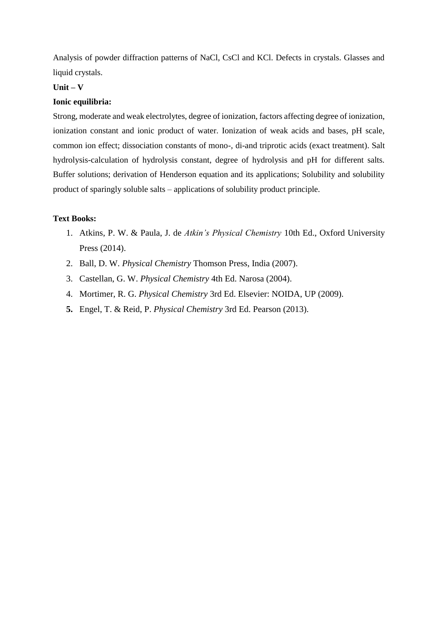Analysis of powder diffraction patterns of NaCl, CsCl and KCl. Defects in crystals. Glasses and liquid crystals.

# **Unit – V**

#### **Ionic equilibria:**

Strong, moderate and weak electrolytes, degree of ionization, factors affecting degree of ionization, ionization constant and ionic product of water. Ionization of weak acids and bases, pH scale, common ion effect; dissociation constants of mono-, di-and triprotic acids (exact treatment). Salt hydrolysis-calculation of hydrolysis constant, degree of hydrolysis and pH for different salts. Buffer solutions; derivation of Henderson equation and its applications; Solubility and solubility product of sparingly soluble salts – applications of solubility product principle.

#### **Text Books:**

- 1. Atkins, P. W. & Paula, J. de *Atkin's Physical Chemistry* 10th Ed., Oxford University Press (2014).
- 2. Ball, D. W. *Physical Chemistry* Thomson Press, India (2007).
- 3. Castellan, G. W. *Physical Chemistry* 4th Ed. Narosa (2004).
- 4. Mortimer, R. G. *Physical Chemistry* 3rd Ed. Elsevier: NOIDA, UP (2009).
- **5.** Engel, T. & Reid, P. *Physical Chemistry* 3rd Ed. Pearson (2013).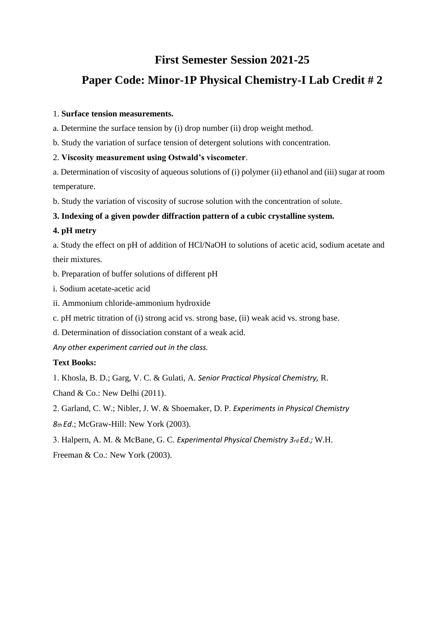# **First Semester Session 2021-25**

# **Paper Code: Minor-1P Physical Chemistry-I Lab Credit # 2**

### 1. **Surface tension measurements.**

a. Determine the surface tension by (i) drop number (ii) drop weight method.

b. Study the variation of surface tension of detergent solutions with concentration.

#### 2. **Viscosity measurement using Ostwald's viscometer**.

a. Determination of viscosity of aqueous solutions of (i) polymer (ii) ethanol and (iii) sugar at room temperature.

b. Study the variation of viscosity of sucrose solution with the concentration of solute.

### **3. Indexing of a given powder diffraction pattern of a cubic crystalline system.**

#### **4. pH metry**

a. Study the effect on pH of addition of HCl/NaOH to solutions of acetic acid, sodium acetate and their mixtures.

- b. Preparation of buffer solutions of different pH
- i. Sodium acetate-acetic acid
- ii. Ammonium chloride-ammonium hydroxide
- c. pH metric titration of (i) strong acid vs. strong base, (ii) weak acid vs. strong base.
- d. Determination of dissociation constant of a weak acid.

*Any other experiment carried out in the class.*

#### **Text Books:**

Khosla, B. D.; Garg, V. C. & Gulati, A. *Senior Practical Physical Chemistry,* R.

Chand & Co.: New Delhi (2011).

Garland, C. W.; Nibler, J. W. & Shoemaker, D. P. *Experiments in Physical Chemistry*

- *8th Ed*.; McGraw-Hill: New York (2003).
- Halpern, A. M. & McBane, G. C. *Experimental Physical Chemistry 3rd Ed.;* W.H.

Freeman & Co.: New York (2003).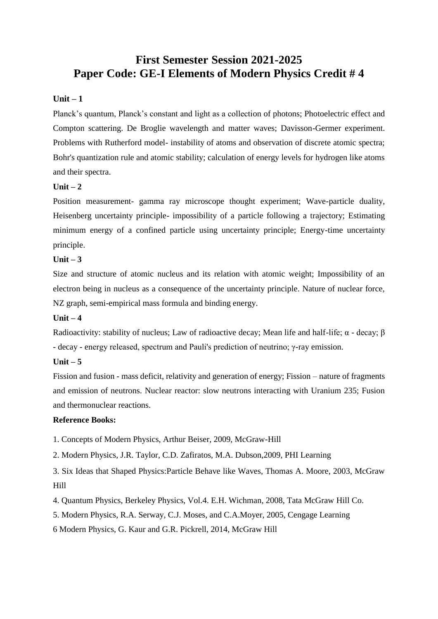# **First Semester Session 2021-2025 Paper Code: GE-I Elements of Modern Physics Credit # 4**

### **Unit – 1**

Planck's quantum, Planck's constant and light as a collection of photons; Photoelectric effect and Compton scattering. De Broglie wavelength and matter waves; Davisson-Germer experiment. Problems with Rutherford model- instability of atoms and observation of discrete atomic spectra; Bohr's quantization rule and atomic stability; calculation of energy levels for hydrogen like atoms and their spectra.

### $\textbf{Unit} - 2$

Position measurement- gamma ray microscope thought experiment; Wave-particle duality, Heisenberg uncertainty principle- impossibility of a particle following a trajectory; Estimating minimum energy of a confined particle using uncertainty principle; Energy-time uncertainty principle.

#### **Unit – 3**

Size and structure of atomic nucleus and its relation with atomic weight; Impossibility of an electron being in nucleus as a consequence of the uncertainty principle. Nature of nuclear force, NZ graph, semi-empirical mass formula and binding energy.

### **Unit – 4**

Radioactivity: stability of nucleus; Law of radioactive decay; Mean life and half-life;  $\alpha$  - decay;  $\beta$ - decay - energy released, spectrum and Pauli's prediction of neutrino; γ-ray emission.

#### **Unit – 5**

Fission and fusion - mass deficit, relativity and generation of energy; Fission – nature of fragments and emission of neutrons. Nuclear reactor: slow neutrons interacting with Uranium 235; Fusion and thermonuclear reactions.

#### **Reference Books:**

1. Concepts of Modern Physics, Arthur Beiser, 2009, McGraw-Hill

2. Modern Physics, J.R. Taylor, C.D. Zafiratos, M.A. Dubson,2009, PHI Learning

3. Six Ideas that Shaped Physics:Particle Behave like Waves, Thomas A. Moore, 2003, McGraw Hill

4. Quantum Physics, Berkeley Physics, Vol.4. E.H. Wichman, 2008, Tata McGraw Hill Co.

5. Modern Physics, R.A. Serway, C.J. Moses, and C.A.Moyer, 2005, Cengage Learning

6 Modern Physics, G. Kaur and G.R. Pickrell, 2014, McGraw Hill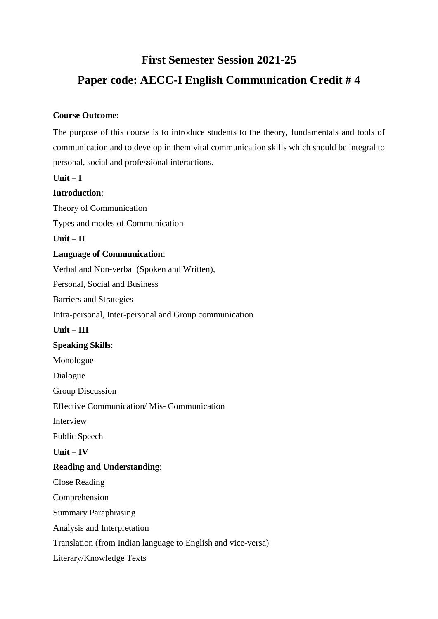# **First Semester Session 2021-25**

# **Paper code: AECC-I English Communication Credit # 4**

## **Course Outcome:**

The purpose of this course is to introduce students to the theory, fundamentals and tools of communication and to develop in them vital communication skills which should be integral to personal, social and professional interactions.

## **Unit – I**

## **Introduction**:

Theory of Communication Types and modes of Communication **Unit – II Language of Communication**: Verbal and Non-verbal (Spoken and Written), Personal, Social and Business Barriers and Strategies Intra-personal, Inter-personal and Group communication **Unit – III Speaking Skills**: Monologue Dialogue Group Discussion Effective Communication/ Mis- Communication Interview Public Speech **Unit – IV Reading and Understanding**: Close Reading Comprehension Summary Paraphrasing Analysis and Interpretation Translation (from Indian language to English and vice-versa) Literary/Knowledge Texts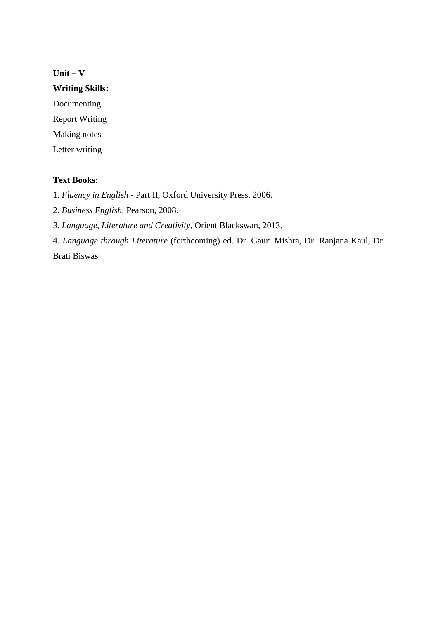# **Unit – V**

**Writing Skills:** 

Documenting Report Writing

Making notes

Letter writing

## **Text Books:**

1. *Fluency in English* - Part II, Oxford University Press, 2006.

2. *Business English*, Pearson, 2008.

*3. Language, Literature and Creativity*, Orient Blackswan, 2013.

4. *Language through Literature* (forthcoming) ed. Dr. Gauri Mishra, Dr. Ranjana Kaul, Dr. Brati Biswas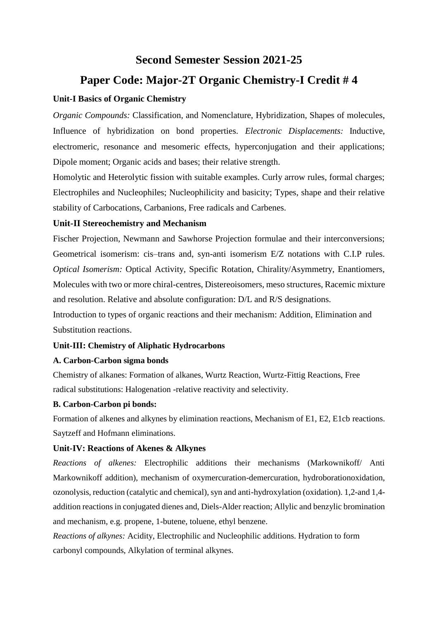# **Second Semester Session 2021-25**

# **Paper Code: Major-2T Organic Chemistry-I Credit # 4**

# **Unit-I Basics of Organic Chemistry**

*Organic Compounds:* Classification, and Nomenclature, Hybridization, Shapes of molecules, Influence of hybridization on bond properties. *Electronic Displacements:* Inductive, electromeric, resonance and mesomeric effects, hyperconjugation and their applications; Dipole moment; Organic acids and bases; their relative strength.

Homolytic and Heterolytic fission with suitable examples. Curly arrow rules, formal charges; Electrophiles and Nucleophiles; Nucleophilicity and basicity; Types, shape and their relative stability of Carbocations, Carbanions, Free radicals and Carbenes.

# **Unit-II Stereochemistry and Mechanism**

Fischer Projection, Newmann and Sawhorse Projection formulae and their interconversions; Geometrical isomerism: cis–trans and, syn-anti isomerism E/Z notations with C.I.P rules. *Optical Isomerism:* Optical Activity, Specific Rotation, Chirality/Asymmetry, Enantiomers, Molecules with two or more chiral-centres, Distereoisomers, meso structures, Racemic mixture and resolution. Relative and absolute configuration: D/L and R/S designations.

Introduction to types of organic reactions and their mechanism: Addition, Elimination and Substitution reactions.

# **Unit-III: Chemistry of Aliphatic Hydrocarbons**

### **A. Carbon-Carbon sigma bonds**

Chemistry of alkanes: Formation of alkanes, Wurtz Reaction, Wurtz-Fittig Reactions, Free radical substitutions: Halogenation -relative reactivity and selectivity.

# **B. Carbon-Carbon pi bonds:**

Formation of alkenes and alkynes by elimination reactions, Mechanism of E1, E2, E1cb reactions. Saytzeff and Hofmann eliminations.

### **Unit-IV: Reactions of Akenes & Alkynes**

*Reactions of alkenes:* Electrophilic additions their mechanisms (Markownikoff/ Anti Markownikoff addition), mechanism of oxymercuration-demercuration, hydroborationoxidation, ozonolysis, reduction (catalytic and chemical), syn and anti-hydroxylation (oxidation). 1,2-and 1,4 addition reactions in conjugated dienes and, Diels-Alder reaction; Allylic and benzylic bromination and mechanism, e.g. propene, 1-butene, toluene, ethyl benzene.

*Reactions of alkynes:* Acidity, Electrophilic and Nucleophilic additions. Hydration to form carbonyl compounds, Alkylation of terminal alkynes.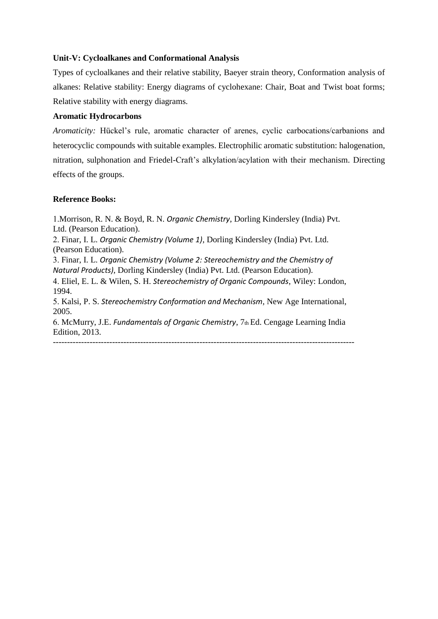#### **Unit-V: Cycloalkanes and Conformational Analysis**

Types of cycloalkanes and their relative stability, Baeyer strain theory, Conformation analysis of alkanes: Relative stability: Energy diagrams of cyclohexane: Chair, Boat and Twist boat forms; Relative stability with energy diagrams.

#### **Aromatic Hydrocarbons**

*Aromaticity:* Hückel's rule, aromatic character of arenes, cyclic carbocations/carbanions and heterocyclic compounds with suitable examples. Electrophilic aromatic substitution: halogenation, nitration, sulphonation and Friedel-Craft's alkylation/acylation with their mechanism. Directing effects of the groups.

#### **Reference Books:**

Morrison, R. N. & Boyd, R. N. *Organic Chemistry*, Dorling Kindersley (India) Pvt. Ltd. (Pearson Education). Finar, I. L. *Organic Chemistry (Volume 1)*, Dorling Kindersley (India) Pvt. Ltd. (Pearson Education). Finar, I. L. *Organic Chemistry (Volume 2: Stereochemistry and the Chemistry of Natural Products)*, Dorling Kindersley (India) Pvt. Ltd. (Pearson Education). Eliel, E. L. & Wilen, S. H. *Stereochemistry of Organic Compounds*, Wiley: London, 1994. 5. Kalsi, P. S. *Stereochemistry Conformation and Mechanism*, New Age International, 2005. McMurry, J.E. *Fundamentals of Organic Chemistry*, 7th Ed. Cengage Learning India Edition, 2013. -----------------------------------------------------------------------------------------------------------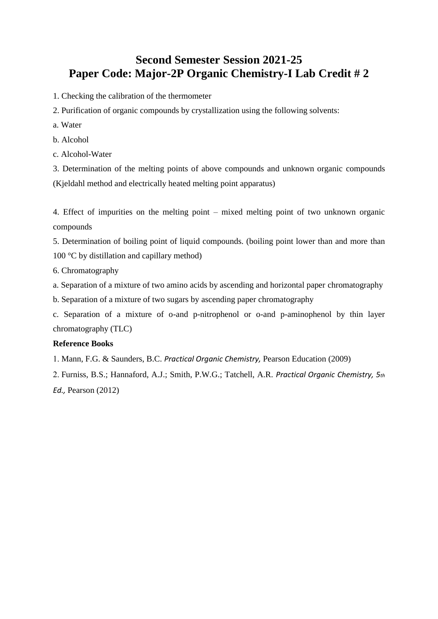# **Second Semester Session 2021-25 Paper Code: Major-2P Organic Chemistry-I Lab Credit # 2**

- 1. Checking the calibration of the thermometer
- 2. Purification of organic compounds by crystallization using the following solvents:
- a. Water
- b. Alcohol
- c. Alcohol-Water

3. Determination of the melting points of above compounds and unknown organic compounds (Kjeldahl method and electrically heated melting point apparatus)

4. Effect of impurities on the melting point – mixed melting point of two unknown organic compounds

5. Determination of boiling point of liquid compounds. (boiling point lower than and more than 100 °C by distillation and capillary method)

6. Chromatography

a. Separation of a mixture of two amino acids by ascending and horizontal paper chromatography

b. Separation of a mixture of two sugars by ascending paper chromatography

c. Separation of a mixture of o-and p-nitrophenol or o-and p-aminophenol by thin layer chromatography (TLC)

### **Reference Books**

Mann, F.G. & Saunders, B.C. *Practical Organic Chemistry,* Pearson Education (2009)

 Furniss, B.S.; Hannaford, A.J.; Smith, P.W.G.; Tatchell, A.R. *Practical Organic Chemistry, 5th Ed.,* Pearson (2012)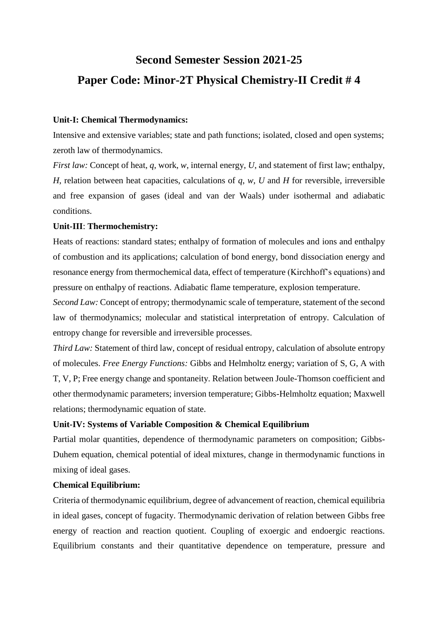# **Second Semester Session 2021-25 Paper Code: Minor-2T Physical Chemistry-II Credit # 4**

# **Unit-I: Chemical Thermodynamics:**

Intensive and extensive variables; state and path functions; isolated, closed and open systems; zeroth law of thermodynamics.

*First law:* Concept of heat, *q*, work, *w*, internal energy, *U*, and statement of first law; enthalpy, *H*, relation between heat capacities, calculations of *q*, *w*, *U* and *H* for reversible, irreversible and free expansion of gases (ideal and van der Waals) under isothermal and adiabatic conditions.

# **Unit-III**: **Thermochemistry:**

Heats of reactions: standard states; enthalpy of formation of molecules and ions and enthalpy of combustion and its applications; calculation of bond energy, bond dissociation energy and resonance energy from thermochemical data, effect of temperature (Kirchhoff's equations) and pressure on enthalpy of reactions. Adiabatic flame temperature, explosion temperature.

*Second Law:* Concept of entropy; thermodynamic scale of temperature, statement of the second law of thermodynamics; molecular and statistical interpretation of entropy. Calculation of entropy change for reversible and irreversible processes.

*Third Law:* Statement of third law, concept of residual entropy, calculation of absolute entropy of molecules. *Free Energy Functions:* Gibbs and Helmholtz energy; variation of S, G, A with T, V, P; Free energy change and spontaneity. Relation between Joule-Thomson coefficient and other thermodynamic parameters; inversion temperature; Gibbs-Helmholtz equation; Maxwell relations; thermodynamic equation of state.

# **Unit-IV: Systems of Variable Composition & Chemical Equilibrium**

Partial molar quantities, dependence of thermodynamic parameters on composition; Gibbs-Duhem equation, chemical potential of ideal mixtures, change in thermodynamic functions in mixing of ideal gases.

# **Chemical Equilibrium:**

Criteria of thermodynamic equilibrium, degree of advancement of reaction, chemical equilibria in ideal gases, concept of fugacity. Thermodynamic derivation of relation between Gibbs free energy of reaction and reaction quotient. Coupling of exoergic and endoergic reactions. Equilibrium constants and their quantitative dependence on temperature, pressure and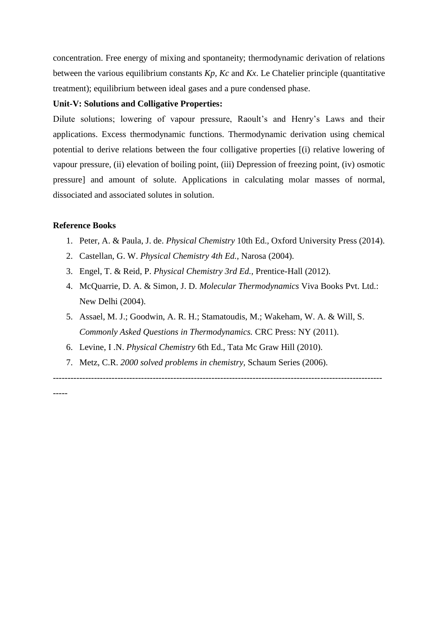concentration. Free energy of mixing and spontaneity; thermodynamic derivation of relations between the various equilibrium constants *Kp*, *Kc* and *Kx*. Le Chatelier principle (quantitative treatment); equilibrium between ideal gases and a pure condensed phase.

## **Unit-V: Solutions and Colligative Properties:**

Dilute solutions; lowering of vapour pressure, Raoult's and Henry's Laws and their applications. Excess thermodynamic functions. Thermodynamic derivation using chemical potential to derive relations between the four colligative properties [(i) relative lowering of vapour pressure, (ii) elevation of boiling point, (iii) Depression of freezing point, (iv) osmotic pressure] and amount of solute. Applications in calculating molar masses of normal, dissociated and associated solutes in solution.

#### **Reference Books**

- 1. Peter, A. & Paula, J. de. *Physical Chemistry* 10th Ed.*,* Oxford University Press (2014).
- 2. Castellan, G. W. *Physical Chemistry 4th Ed.,* Narosa (2004).
- 3. Engel, T. & Reid, P. *Physical Chemistry 3rd Ed.,* Prentice-Hall (2012).
- 4. McQuarrie, D. A. & Simon, J. D. *Molecular Thermodynamics* Viva Books Pvt. Ltd.: New Delhi (2004).
- 5. Assael, M. J.; Goodwin, A. R. H.; Stamatoudis, M.; Wakeham, W. A. & Will, S. *Commonly Asked Questions in Thermodynamics.* CRC Press: NY (2011).
- 6. Levine, I .N. *Physical Chemistry* 6th Ed., Tata Mc Graw Hill (2010).
- 7. Metz, C.R. *2000 solved problems in chemistry,* Schaum Series (2006).

----------------------------------------------------------------------------------------------------------------

-----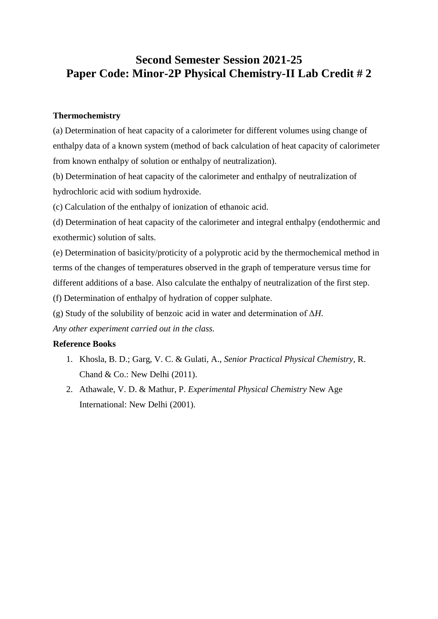# **Second Semester Session 2021-25 Paper Code: Minor-2P Physical Chemistry-II Lab Credit # 2**

# **Thermochemistry**

(a) Determination of heat capacity of a calorimeter for different volumes using change of enthalpy data of a known system (method of back calculation of heat capacity of calorimeter from known enthalpy of solution or enthalpy of neutralization).

(b) Determination of heat capacity of the calorimeter and enthalpy of neutralization of hydrochloric acid with sodium hydroxide.

(c) Calculation of the enthalpy of ionization of ethanoic acid.

(d) Determination of heat capacity of the calorimeter and integral enthalpy (endothermic and exothermic) solution of salts.

(e) Determination of basicity/proticity of a polyprotic acid by the thermochemical method in terms of the changes of temperatures observed in the graph of temperature versus time for different additions of a base. Also calculate the enthalpy of neutralization of the first step. (f) Determination of enthalpy of hydration of copper sulphate.

(g) Study of the solubility of benzoic acid in water and determination of Δ*H*.

*Any other experiment carried out in the class.*

# **Reference Books**

- 1. Khosla, B. D.; Garg, V. C. & Gulati, A., *Senior Practical Physical Chemistry,* R. Chand & Co.: New Delhi (2011).
- 2. Athawale, V. D. & Mathur, P. *Experimental Physical Chemistry* New Age International: New Delhi (2001).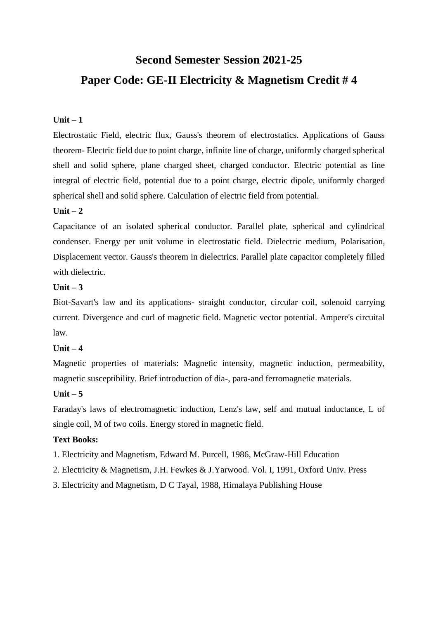# **Second Semester Session 2021-25 Paper Code: GE-II Electricity & Magnetism Credit # 4**

# **Unit – 1**

Electrostatic Field, electric flux, Gauss's theorem of electrostatics. Applications of Gauss theorem- Electric field due to point charge, infinite line of charge, uniformly charged spherical shell and solid sphere, plane charged sheet, charged conductor. Electric potential as line integral of electric field, potential due to a point charge, electric dipole, uniformly charged spherical shell and solid sphere. Calculation of electric field from potential.

# **Unit – 2**

Capacitance of an isolated spherical conductor. Parallel plate, spherical and cylindrical condenser. Energy per unit volume in electrostatic field. Dielectric medium, Polarisation, Displacement vector. Gauss's theorem in dielectrics. Parallel plate capacitor completely filled with dielectric.

## **Unit – 3**

Biot-Savart's law and its applications- straight conductor, circular coil, solenoid carrying current. Divergence and curl of magnetic field. Magnetic vector potential. Ampere's circuital law.

# **Unit – 4**

Magnetic properties of materials: Magnetic intensity, magnetic induction, permeability, magnetic susceptibility. Brief introduction of dia-, para-and ferromagnetic materials.

# **Unit – 5**

Faraday's laws of electromagnetic induction, Lenz's law, self and mutual inductance, L of single coil, M of two coils. Energy stored in magnetic field.

### **Text Books:**

- 1. Electricity and Magnetism, Edward M. Purcell, 1986, McGraw-Hill Education
- 2. Electricity & Magnetism, J.H. Fewkes & J.Yarwood. Vol. I, 1991, Oxford Univ. Press
- 3. Electricity and Magnetism, D C Tayal, 1988, Himalaya Publishing House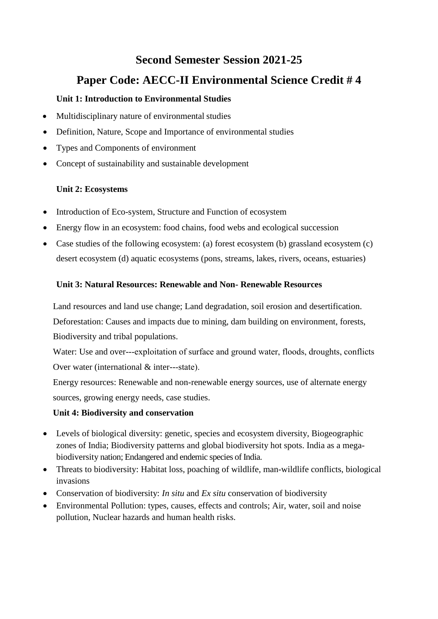# **Second Semester Session 2021-25**

# **Paper Code: AECC-II Environmental Science Credit # 4**

# **Unit 1: Introduction to Environmental Studies**

- Multidisciplinary nature of environmental studies
- Definition, Nature, Scope and Importance of environmental studies
- Types and Components of environment
- Concept of sustainability and sustainable development

# **Unit 2: Ecosystems**

- Introduction of Eco-system, Structure and Function of ecosystem
- Energy flow in an ecosystem: food chains, food webs and ecological succession
- Case studies of the following ecosystem: (a) forest ecosystem (b) grassland ecosystem (c) desert ecosystem (d) aquatic ecosystems (pons, streams, lakes, rivers, oceans, estuaries)

# **Unit 3: Natural Resources: Renewable and Non- Renewable Resources**

Land resources and land use change; Land degradation, soil erosion and desertification. Deforestation: Causes and impacts due to mining, dam building on environment, forests, Biodiversity and tribal populations.

Water: Use and over---exploitation of surface and ground water, floods, droughts, conflicts Over water (international & inter---state).

Energy resources: Renewable and non-renewable energy sources, use of alternate energy sources, growing energy needs, case studies.

# **Unit 4: Biodiversity and conservation**

- Levels of biological diversity: genetic, species and ecosystem diversity, Biogeographic zones of India; Biodiversity patterns and global biodiversity hot spots. India as a megabiodiversity nation; Endangered and endemic species of India.
- Threats to biodiversity: Habitat loss, poaching of wildlife, man-wildlife conflicts, biological invasions
- Conservation of biodiversity: *In situ* and *Ex situ* conservation of biodiversity
- Environmental Pollution: types, causes, effects and controls; Air, water, soil and noise pollution, Nuclear hazards and human health risks.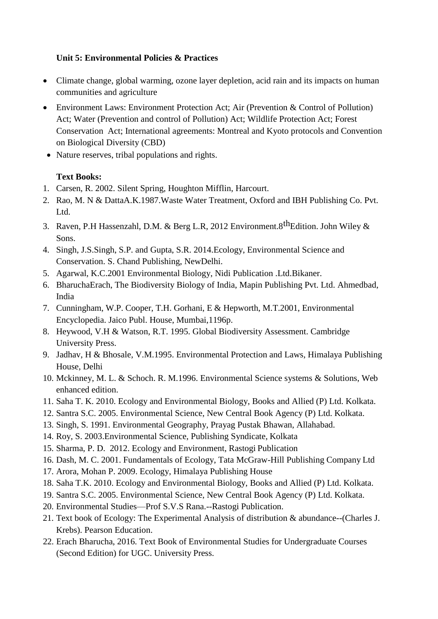# **Unit 5: Environmental Policies & Practices**

- Climate change, global warming, ozone layer depletion, acid rain and its impacts on human communities and agriculture
- Environment Laws: Environment Protection Act; Air (Prevention & Control of Pollution) Act; Water (Prevention and control of Pollution) Act; Wildlife Protection Act; Forest Conservation Act; International agreements: Montreal and Kyoto protocols and Convention on Biological Diversity (CBD)
- Nature reserves, tribal populations and rights.

# **Text Books:**

- 1. Carsen, R. 2002. Silent Spring, Houghton Mifflin, Harcourt.
- 2. Rao, M. N & DattaA.K.1987.Waste Water Treatment, Oxford and IBH Publishing Co. Pvt. Ltd.
- 3. Raven, P.H Hassenzahl, D.M. & Berg L.R, 2012 Environment. 8<sup>th</sup>Edition. John Wiley & Sons.
- 4. Singh, J.S.Singh, S.P. and Gupta, S.R. 2014.Ecology, Environmental Science and Conservation. S. Chand Publishing, NewDelhi.
- 5. Agarwal, K.C.2001 Environmental Biology, Nidi Publication .Ltd.Bikaner.
- 6. BharuchaErach, The Biodiversity Biology of India, Mapin Publishing Pvt. Ltd. Ahmedbad, India
- 7. Cunningham, W.P. Cooper, T.H. Gorhani, E & Hepworth, M.T.2001, Environmental Encyclopedia. Jaico Publ. House, Mumbai,1196p.
- 8. Heywood, V.H & Watson, R.T. 1995. Global Biodiversity Assessment. Cambridge University Press.
- 9. Jadhav, H & Bhosale, V.M.1995. Environmental Protection and Laws, Himalaya Publishing House, Delhi
- 10. Mckinney, M. L. & Schoch. R. M.1996. Environmental Science systems & Solutions, Web enhanced edition.
- 11. Saha T. K. 2010. Ecology and Environmental Biology, Books and Allied (P) Ltd. Kolkata.
- 12. Santra S.C. 2005. Environmental Science, New Central Book Agency (P) Ltd. Kolkata.
- 13. Singh, S. 1991. Environmental Geography, Prayag Pustak Bhawan, Allahabad.
- 14. Roy, S. 2003.Environmental Science, Publishing Syndicate, Kolkata
- 15. Sharma, P. D. 2012. Ecology and Environment, Rastogi Publication
- 16. Dash, M. C. 2001. Fundamentals of Ecology, Tata McGraw-Hill Publishing Company Ltd
- 17. Arora, Mohan P. 2009. Ecology, Himalaya Publishing House
- 18. Saha T.K. 2010. Ecology and Environmental Biology, Books and Allied (P) Ltd. Kolkata.
- 19. Santra S.C. 2005. Environmental Science, New Central Book Agency (P) Ltd. Kolkata.
- 20. Environmental Studies—Prof S.V.S Rana.--Rastogi Publication.
- 21. Text book of Ecology: The Experimental Analysis of distribution & abundance--(Charles J. Krebs). Pearson Education.
- 22. Erach Bharucha, 2016. Text Book of Environmental Studies for Undergraduate Courses (Second Edition) for UGC. University Press.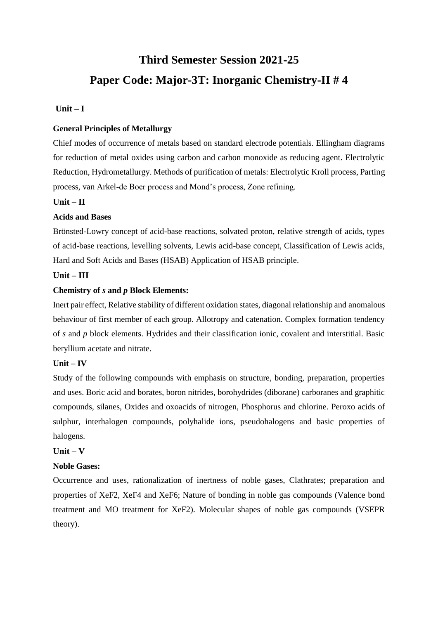# **Third Semester Session 2021-25 Paper Code: Major-3T: Inorganic Chemistry-II # 4**

## **Unit – I**

### **General Principles of Metallurgy**

Chief modes of occurrence of metals based on standard electrode potentials. Ellingham diagrams for reduction of metal oxides using carbon and carbon monoxide as reducing agent. Electrolytic Reduction, Hydrometallurgy. Methods of purification of metals: Electrolytic Kroll process, Parting process, van Arkel-de Boer process and Mond's process, Zone refining.

## **Unit – II**

### **Acids and Bases**

Brönsted-Lowry concept of acid-base reactions, solvated proton, relative strength of acids, types of acid-base reactions, levelling solvents, Lewis acid-base concept, Classification of Lewis acids, Hard and Soft Acids and Bases (HSAB) Application of HSAB principle.

### **Unit – III**

## **Chemistry of** *s* **and** *p* **Block Elements:**

Inert pair effect, Relative stability of different oxidation states, diagonal relationship and anomalous behaviour of first member of each group. Allotropy and catenation. Complex formation tendency of *s* and *p* block elements. Hydrides and their classification ionic, covalent and interstitial. Basic beryllium acetate and nitrate.

### **Unit – IV**

Study of the following compounds with emphasis on structure, bonding, preparation, properties and uses. Boric acid and borates, boron nitrides, borohydrides (diborane) carboranes and graphitic compounds, silanes, Oxides and oxoacids of nitrogen, Phosphorus and chlorine. Peroxo acids of sulphur, interhalogen compounds, polyhalide ions, pseudohalogens and basic properties of halogens.

### **Unit – V**

## **Noble Gases:**

Occurrence and uses, rationalization of inertness of noble gases, Clathrates; preparation and properties of XeF2, XeF4 and XeF6; Nature of bonding in noble gas compounds (Valence bond treatment and MO treatment for XeF2). Molecular shapes of noble gas compounds (VSEPR theory).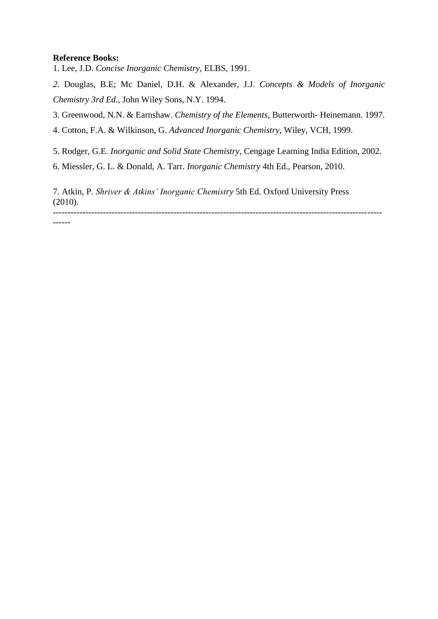### **Reference Books:**

1. Lee, J.D. *Concise Inorganic Chemistry*, ELBS, 1991.

*2.* Douglas, B.E; Mc Daniel, D.H. & Alexander, J.J. *Concepts & Models of Inorganic Chemistry 3rd Ed.*, John Wiley Sons, N.Y. 1994.

3. Greenwood, N.N. & Earnshaw. *Chemistry of the Elements*, Butterworth- Heinemann. 1997.

4. Cotton, F.A. & Wilkinson, G. *Advanced Inorganic Chemistry*, Wiley, VCH, 1999.

5. Rodger, G.E. *Inorganic and Solid State Chemistry*, Cengage Learning India Edition, 2002.

6. Miessler, G. L. & Donald, A. Tarr. *Inorganic Chemistry* 4th Ed., Pearson, 2010.

7. Atkin, P. *Shriver & Atkins' Inorganic Chemistry* 5th Ed. Oxford University Press (2010). ----------------------------------------------------------------------------------------------------------------

------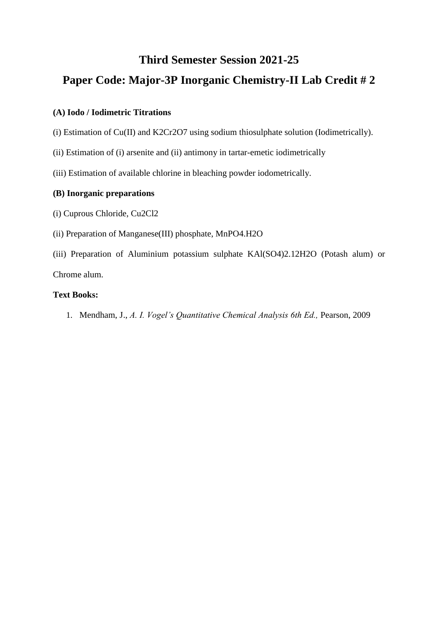# **Paper Code: Major-3P Inorganic Chemistry-II Lab Credit # 2**

# **(A) Iodo / Iodimetric Titrations**

(i) Estimation of Cu(II) and K2Cr2O7 using sodium thiosulphate solution (Iodimetrically).

- (ii) Estimation of (i) arsenite and (ii) antimony in tartar-emetic iodimetrically
- (iii) Estimation of available chlorine in bleaching powder iodometrically.

# **(B) Inorganic preparations**

- (i) Cuprous Chloride, Cu2Cl2
- (ii) Preparation of Manganese(III) phosphate, MnPO4.H2O
- (iii) Preparation of Aluminium potassium sulphate KAl(SO4)2.12H2O (Potash alum) or Chrome alum.

# **Text Books:**

1. Mendham, J., *A. I. Vogel's Quantitative Chemical Analysis 6th Ed.,* Pearson, 2009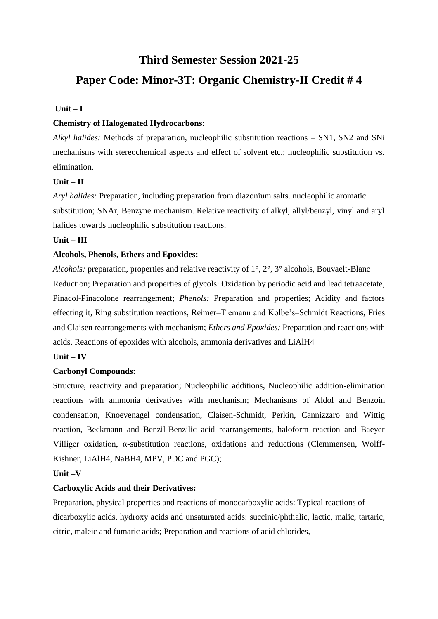# **Paper Code: Minor-3T: Organic Chemistry-II Credit # 4**

### **Unit – I**

## **Chemistry of Halogenated Hydrocarbons:**

*Alkyl halides:* Methods of preparation, nucleophilic substitution reactions – SN1, SN2 and SNi mechanisms with stereochemical aspects and effect of solvent etc.; nucleophilic substitution vs. elimination.

## **Unit – II**

*Aryl halides:* Preparation, including preparation from diazonium salts. nucleophilic aromatic substitution; SNAr, Benzyne mechanism. Relative reactivity of alkyl, allyl/benzyl, vinyl and aryl halides towards nucleophilic substitution reactions.

## **Unit – III**

## **Alcohols, Phenols, Ethers and Epoxides:**

*Alcohols:* preparation, properties and relative reactivity of 1°, 2°, 3° alcohols, Bouvaelt-Blanc Reduction; Preparation and properties of glycols: Oxidation by periodic acid and lead tetraacetate, Pinacol-Pinacolone rearrangement; *Phenols:* Preparation and properties; Acidity and factors effecting it, Ring substitution reactions, Reimer–Tiemann and Kolbe's–Schmidt Reactions, Fries and Claisen rearrangements with mechanism; *Ethers and Epoxides:* Preparation and reactions with acids. Reactions of epoxides with alcohols, ammonia derivatives and LiAlH4

# **Unit – IV**

### **Carbonyl Compounds:**

Structure, reactivity and preparation; Nucleophilic additions, Nucleophilic addition-elimination reactions with ammonia derivatives with mechanism; Mechanisms of Aldol and Benzoin condensation, Knoevenagel condensation, Claisen-Schmidt, Perkin, Cannizzaro and Wittig reaction, Beckmann and Benzil-Benzilic acid rearrangements, haloform reaction and Baeyer Villiger oxidation, α-substitution reactions, oxidations and reductions (Clemmensen, Wolff-Kishner, LiAlH4, NaBH4, MPV, PDC and PGC);

### **Unit –V**

# **Carboxylic Acids and their Derivatives:**

Preparation, physical properties and reactions of monocarboxylic acids: Typical reactions of dicarboxylic acids, hydroxy acids and unsaturated acids: succinic/phthalic, lactic, malic, tartaric, citric, maleic and fumaric acids; Preparation and reactions of acid chlorides,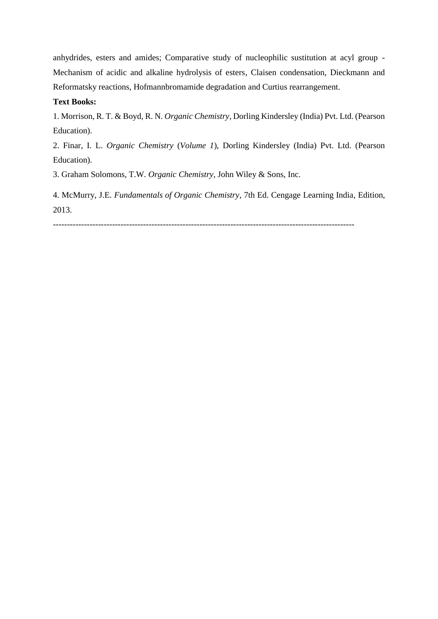anhydrides, esters and amides; Comparative study of nucleophilic sustitution at acyl group - Mechanism of acidic and alkaline hydrolysis of esters, Claisen condensation, Dieckmann and Reformatsky reactions, Hofmannbromamide degradation and Curtius rearrangement.

## **Text Books:**

1. Morrison, R. T. & Boyd, R. N. *Organic Chemistry*, Dorling Kindersley (India) Pvt. Ltd. (Pearson Education).

2. Finar, I. L. *Organic Chemistry* (*Volume 1*), Dorling Kindersley (India) Pvt. Ltd. (Pearson Education).

3. Graham Solomons, T.W. *Organic Chemistry,* John Wiley & Sons, Inc.

4. McMurry, J.E. *Fundamentals of Organic Chemistry*, 7th Ed. Cengage Learning India, Edition, 2013.

-----------------------------------------------------------------------------------------------------------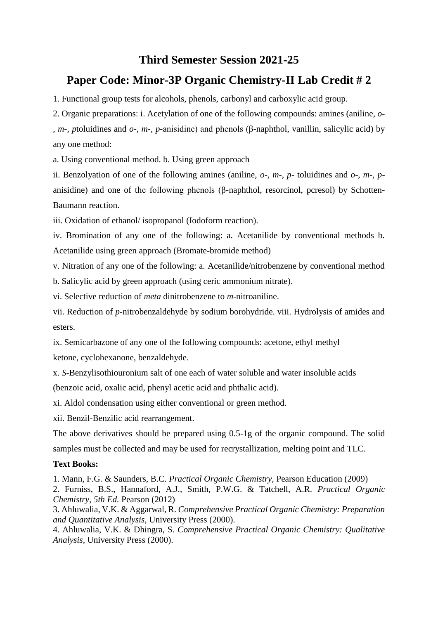# **Paper Code: Minor-3P Organic Chemistry-II Lab Credit # 2**

1. Functional group tests for alcohols, phenols, carbonyl and carboxylic acid group.

2. Organic preparations: i. Acetylation of one of the following compounds: amines (aniline, *o*- , *m*-, *p*toluidines and *o*-, *m*-, *p*-anisidine) and phenols (β-naphthol, vanillin, salicylic acid) by any one method:

a. Using conventional method. b. Using green approach

ii. Benzolyation of one of the following amines (aniline, *o*-, *m*-, *p*- toluidines and *o*-, *m*-, *p*anisidine) and one of the following phenols (β-naphthol, resorcinol, pcresol) by Schotten-Baumann reaction.

iii. Oxidation of ethanol/ isopropanol (Iodoform reaction).

iv. Bromination of any one of the following: a. Acetanilide by conventional methods b. Acetanilide using green approach (Bromate-bromide method)

v. Nitration of any one of the following: a. Acetanilide/nitrobenzene by conventional method

b. Salicylic acid by green approach (using ceric ammonium nitrate).

vi. Selective reduction of *meta* dinitrobenzene to *m*-nitroaniline.

vii. Reduction of *p*-nitrobenzaldehyde by sodium borohydride. viii. Hydrolysis of amides and esters.

ix. Semicarbazone of any one of the following compounds: acetone, ethyl methyl ketone, cyclohexanone, benzaldehyde.

x. *S*-Benzylisothiouronium salt of one each of water soluble and water insoluble acids

(benzoic acid, oxalic acid, phenyl acetic acid and phthalic acid).

xi. Aldol condensation using either conventional or green method.

xii. Benzil-Benzilic acid rearrangement.

The above derivatives should be prepared using 0.5-1g of the organic compound. The solid samples must be collected and may be used for recrystallization, melting point and TLC.

# **Text Books:**

1. Mann, F.G. & Saunders, B.C. *Practical Organic Chemistry,* Pearson Education (2009) 2. Furniss, B.S., Hannaford, A.J., Smith, P.W.G. & Tatchell, A.R. *Practical Organic Chemistry, 5th Ed.* Pearson (2012)

3. Ahluwalia, V.K. & Aggarwal, R. *Comprehensive Practical Organic Chemistry: Preparation and Quantitative Analysis,* University Press (2000).

4. Ahluwalia, V.K. & Dhingra, S. *Comprehensive Practical Organic Chemistry: Qualitative Analysis,* University Press (2000).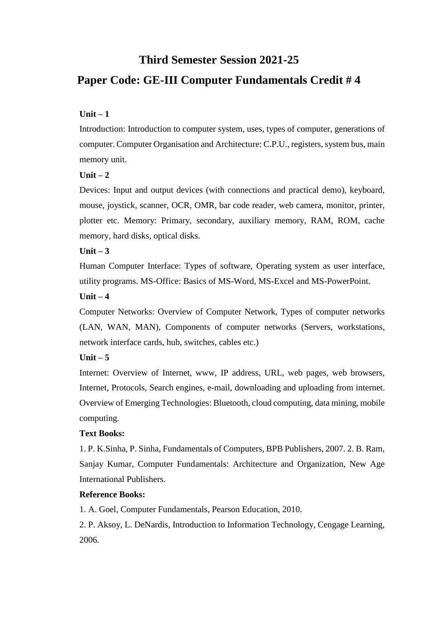# **Paper Code: GE-III Computer Fundamentals Credit # 4**

# **Unit – 1**

Introduction: Introduction to computer system, uses, types of computer, generations of computer. Computer Organisation and Architecture: C.P.U., registers, system bus, main memory unit.

# **Unit – 2**

Devices: Input and output devices (with connections and practical demo), keyboard, mouse, joystick, scanner, OCR, OMR, bar code reader, web camera, monitor, printer, plotter etc. Memory: Primary, secondary, auxiliary memory, RAM, ROM, cache memory, hard disks, optical disks.

# **Unit – 3**

Human Computer Interface: Types of software, Operating system as user interface, utility programs. MS-Office: Basics of MS-Word, MS-Excel and MS-PowerPoint.

## **Unit – 4**

Computer Networks: Overview of Computer Network, Types of computer networks (LAN, WAN, MAN), Components of computer networks (Servers, workstations, network interface cards, hub, switches, cables etc.)

# **Unit – 5**

Internet: Overview of Internet, www, IP address, URL, web pages, web browsers, Internet, Protocols, Search engines, e-mail, downloading and uploading from internet. Overview of Emerging Technologies: Bluetooth, cloud computing, data mining, mobile computing.

# **Text Books:**

1. P. K.Sinha, P. Sinha, Fundamentals of Computers, BPB Publishers, 2007. 2. B. Ram, Sanjay Kumar, Computer Fundamentals: Architecture and Organization, New Age International Publishers.

# **Reference Books:**

1. A. Goel, Computer Fundamentals, Pearson Education, 2010.

2. P. Aksoy, L. DeNardis, Introduction to Information Technology, Cengage Learning, 2006.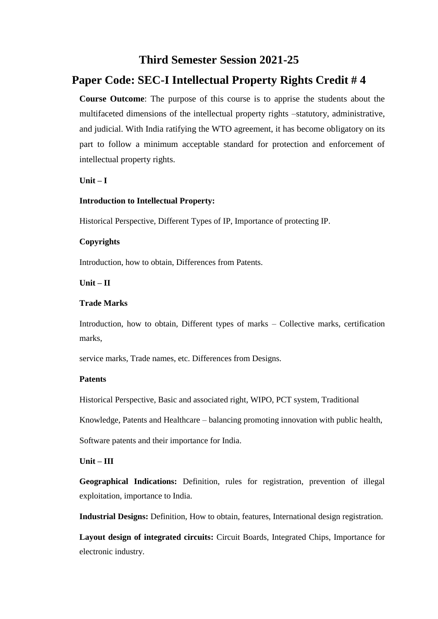# **Paper Code: SEC-I Intellectual Property Rights Credit # 4**

**Course Outcome**: The purpose of this course is to apprise the students about the multifaceted dimensions of the intellectual property rights –statutory, administrative, and judicial. With India ratifying the WTO agreement, it has become obligatory on its part to follow a minimum acceptable standard for protection and enforcement of intellectual property rights.

#### **Unit – I**

#### **Introduction to Intellectual Property:**

Historical Perspective, Different Types of IP, Importance of protecting IP.

#### **Copyrights**

Introduction, how to obtain, Differences from Patents.

#### **Unit – II**

#### **Trade Marks**

Introduction, how to obtain, Different types of marks – Collective marks, certification marks,

service marks, Trade names, etc. Differences from Designs.

#### **Patents**

Historical Perspective, Basic and associated right, WIPO, PCT system, Traditional

Knowledge, Patents and Healthcare – balancing promoting innovation with public health,

Software patents and their importance for India.

#### **Unit – III**

**Geographical Indications:** Definition, rules for registration, prevention of illegal exploitation, importance to India.

**Industrial Designs:** Definition, How to obtain, features, International design registration.

**Layout design of integrated circuits:** Circuit Boards, Integrated Chips, Importance for electronic industry.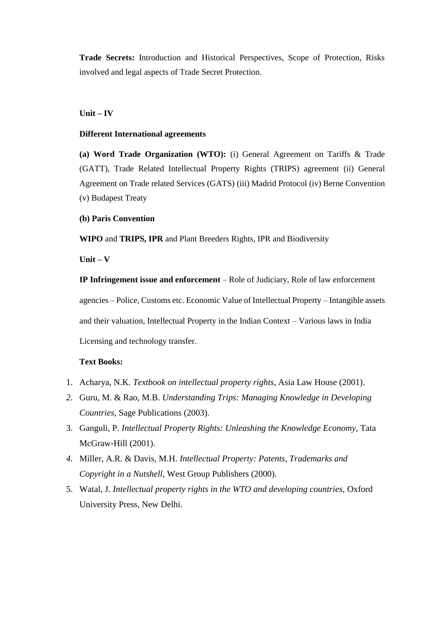**Trade Secrets:** Introduction and Historical Perspectives, Scope of Protection, Risks involved and legal aspects of Trade Secret Protection.

#### **Unit – IV**

#### **Different International agreements**

**(a) Word Trade Organization (WTO):** (i) General Agreement on Tariffs & Trade (GATT), Trade Related Intellectual Property Rights (TRIPS) agreement (ii) General Agreement on Trade related Services (GATS) (iii) Madrid Protocol (iv) Berne Convention (v) Budapest Treaty

#### **(b) Paris Convention**

**WIPO** and **TRIPS, IPR** and Plant Breeders Rights, IPR and Biodiversity

**Unit – V** 

**IP Infringement issue and enforcement** – Role of Judiciary, Role of law enforcement agencies – Police, Customs etc. Economic Value of Intellectual Property – Intangible assets and their valuation, Intellectual Property in the Indian Context – Various laws in India Licensing and technology transfer.

#### **Text Books:**

- 1. Acharya, N.K. *Textbook on intellectual property rights*, Asia Law House (2001).
- *2.* Guru, M. & Rao, M.B. *Understanding Trips: Managing Knowledge in Developing Countries*, Sage Publications (2003).
- 3. Ganguli, P. *Intellectual Property Rights: Unleashing the Knowledge Economy,* Tata McGraw-Hill (2001).
- *4.* Miller, A.R. & Davis, M.H. *Intellectual Property: Patents, Trademarks and Copyright in a Nutshell,* West Group Publishers (2000).
- 5. Watal, J. *Intellectual property rights in the WTO and developing countries,* Oxford University Press, New Delhi.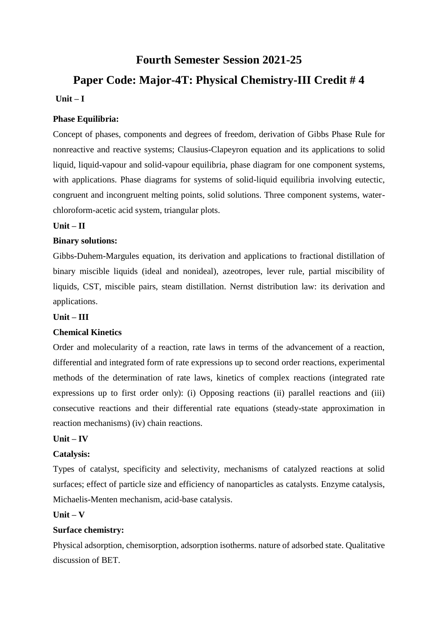# **Fourth Semester Session 2021-25**

# **Paper Code: Major-4T: Physical Chemistry-III Credit # 4**

# **Unit – I**

# **Phase Equilibria:**

Concept of phases, components and degrees of freedom, derivation of Gibbs Phase Rule for nonreactive and reactive systems; Clausius-Clapeyron equation and its applications to solid liquid, liquid-vapour and solid-vapour equilibria, phase diagram for one component systems, with applications. Phase diagrams for systems of solid-liquid equilibria involving eutectic, congruent and incongruent melting points, solid solutions. Three component systems, waterchloroform-acetic acid system, triangular plots.

# **Unit – II**

# **Binary solutions:**

Gibbs-Duhem-Margules equation, its derivation and applications to fractional distillation of binary miscible liquids (ideal and nonideal), azeotropes, lever rule, partial miscibility of liquids, CST, miscible pairs, steam distillation. Nernst distribution law: its derivation and applications.

# **Unit – III**

# **Chemical Kinetics**

Order and molecularity of a reaction, rate laws in terms of the advancement of a reaction, differential and integrated form of rate expressions up to second order reactions, experimental methods of the determination of rate laws, kinetics of complex reactions (integrated rate expressions up to first order only): (i) Opposing reactions (ii) parallel reactions and (iii) consecutive reactions and their differential rate equations (steady-state approximation in reaction mechanisms) (iv) chain reactions.

# **Unit – IV**

# **Catalysis:**

Types of catalyst, specificity and selectivity, mechanisms of catalyzed reactions at solid surfaces; effect of particle size and efficiency of nanoparticles as catalysts. Enzyme catalysis, Michaelis-Menten mechanism, acid-base catalysis.

# **Unit – V**

# **Surface chemistry:**

Physical adsorption, chemisorption, adsorption isotherms. nature of adsorbed state. Qualitative discussion of BET.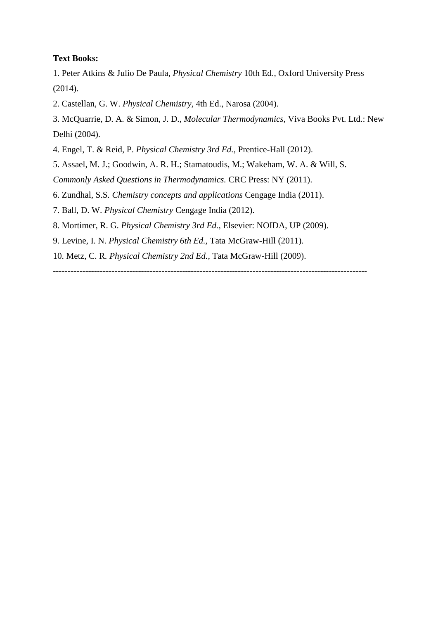### **Text Books:**

1. Peter Atkins & Julio De Paula, *Physical Chemistry* 10th Ed.*,* Oxford University Press (2014).

2. Castellan, G. W. *Physical Chemistry*, 4th Ed., Narosa (2004).

3. McQuarrie, D. A. & Simon, J. D., *Molecular Thermodynamics*, Viva Books Pvt. Ltd.: New Delhi (2004).

- 4. Engel, T. & Reid, P. *Physical Chemistry 3rd Ed.,* Prentice-Hall (2012).
- 5. Assael, M. J.; Goodwin, A. R. H.; Stamatoudis, M.; Wakeham, W. A. & Will, S.

*Commonly Asked Questions in Thermodynamics.* CRC Press: NY (2011).

6. Zundhal, S.S*. Chemistry concepts and applications* Cengage India (2011).

7. Ball, D. W. *Physical Chemistry* Cengage India (2012).

8. Mortimer, R. G. *Physical Chemistry 3rd Ed.,* Elsevier: NOIDA, UP (2009).

9. Levine, I. N. *Physical Chemistry 6th Ed.,* Tata McGraw-Hill (2011).

10. Metz, C. R*. Physical Chemistry 2nd Ed.,* Tata McGraw-Hill (2009).

-----------------------------------------------------------------------------------------------------------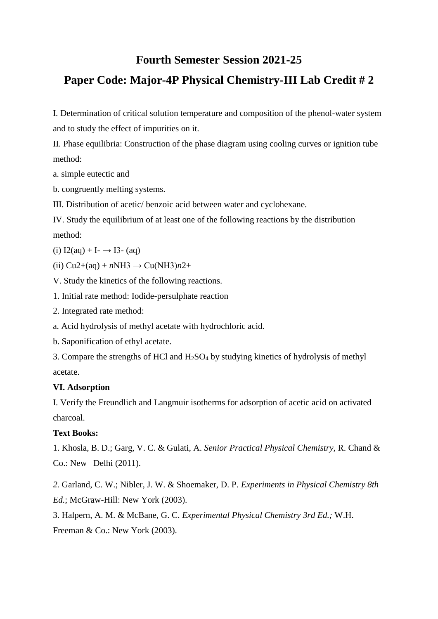# **Fourth Semester Session 2021-25**

# **Paper Code: Major-4P Physical Chemistry-III Lab Credit # 2**

I. Determination of critical solution temperature and composition of the phenol-water system and to study the effect of impurities on it.

II. Phase equilibria: Construction of the phase diagram using cooling curves or ignition tube method:

a. simple eutectic and

b. congruently melting systems.

III. Distribution of acetic/ benzoic acid between water and cyclohexane.

IV. Study the equilibrium of at least one of the following reactions by the distribution method:

(i)  $I2(aq) + I - \rightarrow I3 - (aq)$ 

(ii)  $Cu2+(aq) + nNH3 \rightarrow Cu(NH3)n2+$ 

V. Study the kinetics of the following reactions.

1. Initial rate method: Iodide-persulphate reaction

2. Integrated rate method:

a. Acid hydrolysis of methyl acetate with hydrochloric acid.

b. Saponification of ethyl acetate.

3. Compare the strengths of HCl and H2SO<sup>4</sup> by studying kinetics of hydrolysis of methyl acetate.

# **VI. Adsorption**

I. Verify the Freundlich and Langmuir isotherms for adsorption of acetic acid on activated charcoal.

# **Text Books:**

1. Khosla, B. D.; Garg, V. C. & Gulati, A. *Senior Practical Physical Chemistry,* R. Chand & Co.: New Delhi (2011).

*2.* Garland, C. W.; Nibler, J. W. & Shoemaker, D. P. *Experiments in Physical Chemistry 8th Ed.*; McGraw-Hill: New York (2003).

3. Halpern, A. M. & McBane, G. C. *Experimental Physical Chemistry 3rd Ed.;* W.H. Freeman & Co.: New York (2003).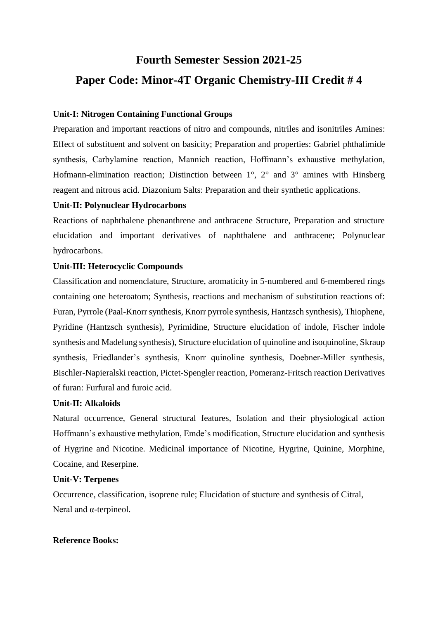# **Fourth Semester Session 2021-25 Paper Code: Minor-4T Organic Chemistry-III Credit # 4**

## **Unit-I: Nitrogen Containing Functional Groups**

Preparation and important reactions of nitro and compounds, nitriles and isonitriles Amines: Effect of substituent and solvent on basicity; Preparation and properties: Gabriel phthalimide synthesis, Carbylamine reaction, Mannich reaction, Hoffmann's exhaustive methylation, Hofmann-elimination reaction; Distinction between 1°, 2° and 3° amines with Hinsberg reagent and nitrous acid. Diazonium Salts: Preparation and their synthetic applications.

### **Unit-II: Polynuclear Hydrocarbons**

Reactions of naphthalene phenanthrene and anthracene Structure, Preparation and structure elucidation and important derivatives of naphthalene and anthracene; Polynuclear hydrocarbons.

# **Unit-III: Heterocyclic Compounds**

Classification and nomenclature, Structure, aromaticity in 5-numbered and 6-membered rings containing one heteroatom; Synthesis, reactions and mechanism of substitution reactions of: Furan, Pyrrole (Paal-Knorr synthesis, Knorr pyrrole synthesis, Hantzsch synthesis), Thiophene, Pyridine (Hantzsch synthesis), Pyrimidine, Structure elucidation of indole, Fischer indole synthesis and Madelung synthesis), Structure elucidation of quinoline and isoquinoline, Skraup synthesis, Friedlander's synthesis, Knorr quinoline synthesis, Doebner-Miller synthesis, Bischler-Napieralski reaction, Pictet-Spengler reaction, Pomeranz-Fritsch reaction Derivatives of furan: Furfural and furoic acid.

### **Unit-II: Alkaloids**

Natural occurrence, General structural features, Isolation and their physiological action Hoffmann's exhaustive methylation, Emde's modification, Structure elucidation and synthesis of Hygrine and Nicotine. Medicinal importance of Nicotine, Hygrine, Quinine, Morphine, Cocaine, and Reserpine.

## **Unit-V: Terpenes**

Occurrence, classification, isoprene rule; Elucidation of stucture and synthesis of Citral, Neral and α-terpineol.

# **Reference Books:**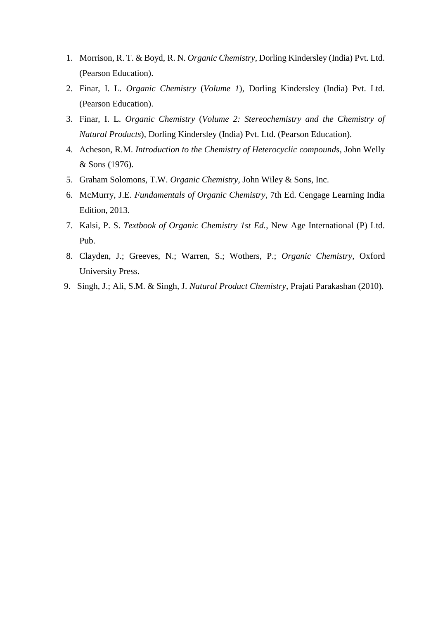- 1. Morrison, R. T. & Boyd, R. N. *Organic Chemistry*, Dorling Kindersley (India) Pvt. Ltd. (Pearson Education).
- 2. Finar, I. L. *Organic Chemistry* (*Volume 1*), Dorling Kindersley (India) Pvt. Ltd. (Pearson Education).
- 3. Finar, I. L. *Organic Chemistry* (*Volume 2: Stereochemistry and the Chemistry of Natural Products*), Dorling Kindersley (India) Pvt. Ltd. (Pearson Education).
- 4. Acheson, R.M. *Introduction to the Chemistry of Heterocyclic compounds,* John Welly & Sons (1976).
- 5. Graham Solomons, T.W. *Organic Chemistry,* John Wiley & Sons, Inc.
- 6. McMurry, J.E. *Fundamentals of Organic Chemistry*, 7th Ed. Cengage Learning India Edition, 2013.
- 7. Kalsi, P. S. *Textbook of Organic Chemistry 1st Ed.*, New Age International (P) Ltd. Pub.
- 8. Clayden, J.; Greeves, N.; Warren, S.; Wothers, P.; *Organic Chemistry,* Oxford University Press.
- 9. Singh, J.; Ali, S.M. & Singh, J. *Natural Product Chemistry*, Prajati Parakashan (2010).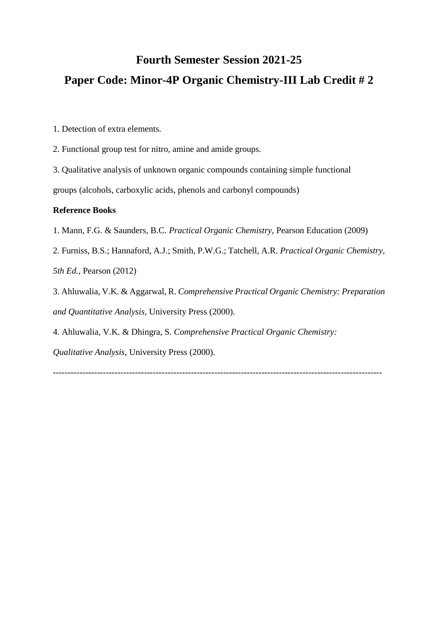# **Fourth Semester Session 2021-25 Paper Code: Minor-4P Organic Chemistry-III Lab Credit # 2**

- 1. Detection of extra elements.
- 2. Functional group test for nitro, amine and amide groups.
- 3. Qualitative analysis of unknown organic compounds containing simple functional groups (alcohols, carboxylic acids, phenols and carbonyl compounds)

### **Reference Books**

- 1. Mann, F.G. & Saunders, B.C. *Practical Organic Chemistry,* Pearson Education (2009)
- 2. Furniss, B.S.; Hannaford, A.J.; Smith, P.W.G.; Tatchell, A.R. *Practical Organic Chemistry, 5th Ed.,* Pearson (2012)
- 3. Ahluwalia, V.K. & Aggarwal, R. *Comprehensive Practical Organic Chemistry: Preparation and Quantitative Analysis,* University Press (2000).
- 4. Ahluwalia, V.K. & Dhingra, S. *Comprehensive Practical Organic Chemistry:*

*Qualitative Analysis,* University Press (2000).

----------------------------------------------------------------------------------------------------------------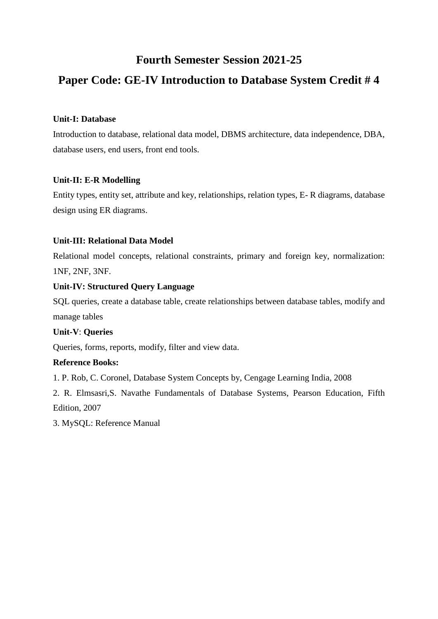# **Fourth Semester Session 2021-25**

# **Paper Code: GE-IV Introduction to Database System Credit # 4**

# **Unit-I: Database**

Introduction to database, relational data model, DBMS architecture, data independence, DBA, database users, end users, front end tools.

# **Unit-II: E-R Modelling**

Entity types, entity set, attribute and key, relationships, relation types, E- R diagrams, database design using ER diagrams.

# **Unit-III: Relational Data Model**

Relational model concepts, relational constraints, primary and foreign key, normalization: 1NF, 2NF, 3NF.

# **Unit-IV: Structured Query Language**

SQL queries, create a database table, create relationships between database tables, modify and manage tables

# **Unit-V**: **Queries**

Queries, forms, reports, modify, filter and view data.

# **Reference Books:**

1. P. Rob, C. Coronel, Database System Concepts by, Cengage Learning India, 2008

2. R. Elmsasri,S. Navathe Fundamentals of Database Systems, Pearson Education, Fifth Edition, 2007

3. MySQL: Reference Manual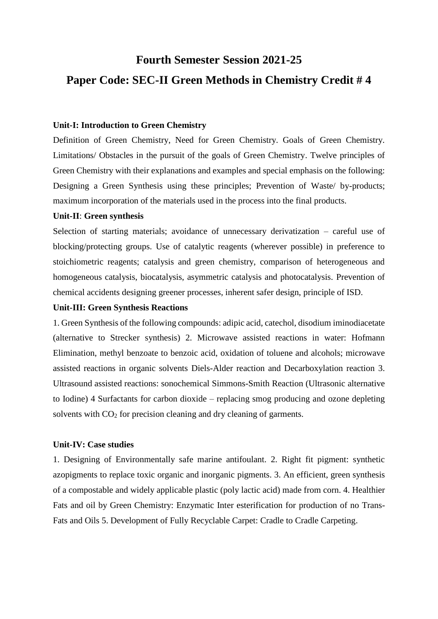# **Fourth Semester Session 2021-25 Paper Code: SEC-II Green Methods in Chemistry Credit # 4**

## **Unit-I: Introduction to Green Chemistry**

Definition of Green Chemistry, Need for Green Chemistry. Goals of Green Chemistry. Limitations/ Obstacles in the pursuit of the goals of Green Chemistry. Twelve principles of Green Chemistry with their explanations and examples and special emphasis on the following: Designing a Green Synthesis using these principles; Prevention of Waste/ by-products; maximum incorporation of the materials used in the process into the final products.

#### **Unit-II**: **Green synthesis**

Selection of starting materials; avoidance of unnecessary derivatization – careful use of blocking/protecting groups. Use of catalytic reagents (wherever possible) in preference to stoichiometric reagents; catalysis and green chemistry, comparison of heterogeneous and homogeneous catalysis, biocatalysis, asymmetric catalysis and photocatalysis. Prevention of chemical accidents designing greener processes, inherent safer design, principle of ISD.

#### **Unit-III: Green Synthesis Reactions**

1. Green Synthesis of the following compounds: adipic acid, catechol, disodium iminodiacetate (alternative to Strecker synthesis) 2. Microwave assisted reactions in water: Hofmann Elimination, methyl benzoate to benzoic acid, oxidation of toluene and alcohols; microwave assisted reactions in organic solvents Diels-Alder reaction and Decarboxylation reaction 3. Ultrasound assisted reactions: sonochemical Simmons-Smith Reaction (Ultrasonic alternative to Iodine) 4 Surfactants for carbon dioxide – replacing smog producing and ozone depleting solvents with CO<sub>2</sub> for precision cleaning and dry cleaning of garments.

#### **Unit-IV: Case studies**

1. Designing of Environmentally safe marine antifoulant. 2. Right fit pigment: synthetic azopigments to replace toxic organic and inorganic pigments. 3. An efficient, green synthesis of a compostable and widely applicable plastic (poly lactic acid) made from corn. 4. Healthier Fats and oil by Green Chemistry: Enzymatic Inter esterification for production of no Trans-Fats and Oils 5. Development of Fully Recyclable Carpet: Cradle to Cradle Carpeting.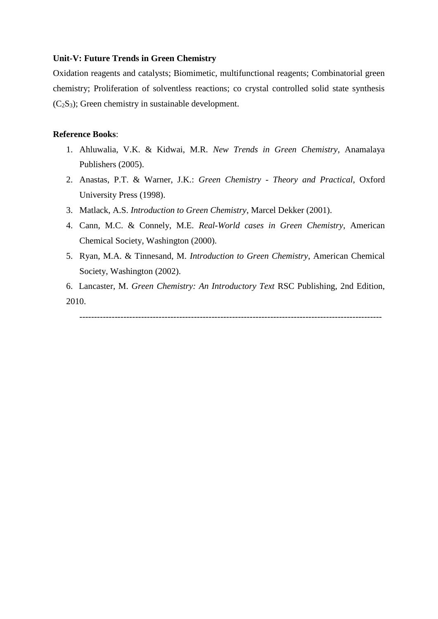#### **Unit-V: Future Trends in Green Chemistry**

Oxidation reagents and catalysts; Biomimetic, multifunctional reagents; Combinatorial green chemistry; Proliferation of solventless reactions; co crystal controlled solid state synthesis (C2S3); Green chemistry in sustainable development.

## **Reference Books**:

- 1. Ahluwalia, V.K. & Kidwai, M.R. *New Trends in Green Chemistry*, Anamalaya Publishers (2005).
- 2. Anastas, P.T. & Warner, J.K.: *Green Chemistry - Theory and Practical*, Oxford University Press (1998).
- 3. Matlack, A.S. *Introduction to Green Chemistry*, Marcel Dekker (2001).
- 4. Cann, M.C. & Connely, M.E. *Real-World cases in Green Chemistry*, American Chemical Society, Washington (2000).
- 5. Ryan, M.A. & Tinnesand, M. *Introduction to Green Chemistry*, American Chemical Society, Washington (2002).

6. Lancaster, M. *Green Chemistry: An Introductory Text* RSC Publishing, 2nd Edition, 2010.

-------------------------------------------------------------------------------------------------------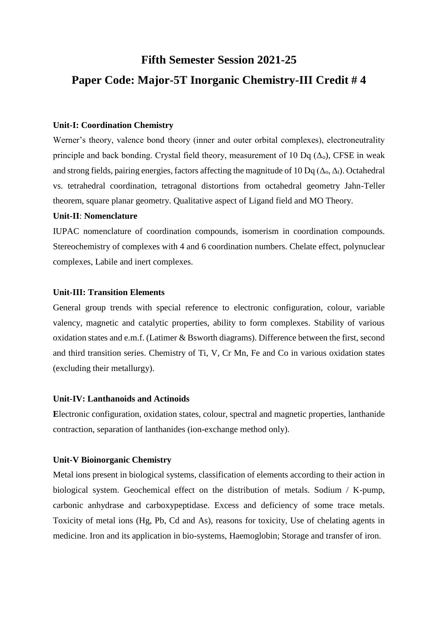# **Fifth Semester Session 2021-25 Paper Code: Major-5T Inorganic Chemistry-III Credit # 4**

## **Unit-I: Coordination Chemistry**

Werner's theory, valence bond theory (inner and outer orbital complexes), electroneutrality principle and back bonding. Crystal field theory, measurement of 10 Dq  $(\Delta_0)$ , CFSE in weak and strong fields, pairing energies, factors affecting the magnitude of 10 Dq ( $\Delta_0$ ,  $\Delta_1$ ). Octahedral vs. tetrahedral coordination, tetragonal distortions from octahedral geometry Jahn-Teller theorem, square planar geometry. Qualitative aspect of Ligand field and MO Theory.

#### **Unit-II**: **Nomenclature**

IUPAC nomenclature of coordination compounds, isomerism in coordination compounds. Stereochemistry of complexes with 4 and 6 coordination numbers. Chelate effect, polynuclear complexes, Labile and inert complexes.

#### **Unit-III: Transition Elements**

General group trends with special reference to electronic configuration, colour, variable valency, magnetic and catalytic properties, ability to form complexes. Stability of various oxidation states and e.m.f. (Latimer & Bsworth diagrams). Difference between the first, second and third transition series. Chemistry of Ti, V, Cr Mn, Fe and Co in various oxidation states (excluding their metallurgy).

### **Unit-IV: Lanthanoids and Actinoids**

**E**lectronic configuration, oxidation states, colour, spectral and magnetic properties, lanthanide contraction, separation of lanthanides (ion-exchange method only).

#### **Unit-V Bioinorganic Chemistry**

Metal ions present in biological systems, classification of elements according to their action in biological system. Geochemical effect on the distribution of metals. Sodium / K-pump, carbonic anhydrase and carboxypeptidase. Excess and deficiency of some trace metals. Toxicity of metal ions (Hg, Pb, Cd and As), reasons for toxicity, Use of chelating agents in medicine. Iron and its application in bio-systems, Haemoglobin; Storage and transfer of iron.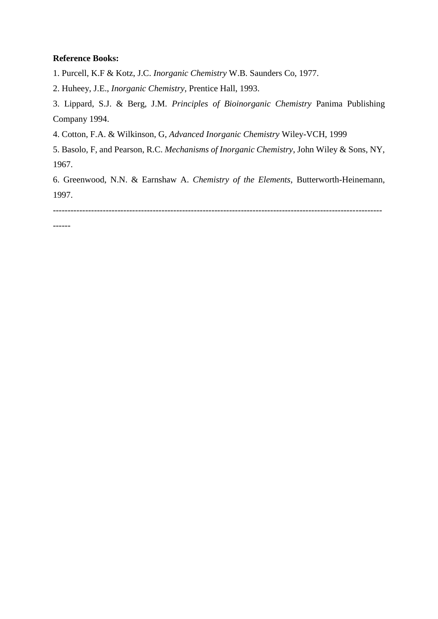## **Reference Books:**

1. Purcell, K.F & Kotz, J.C. *Inorganic Chemistry* W.B. Saunders Co, 1977.

2. Huheey, J.E., *Inorganic Chemistry*, Prentice Hall, 1993.

3. Lippard, S.J. & Berg, J.M. *Principles of Bioinorganic Chemistry* Panima Publishing Company 1994.

4. Cotton, F.A. & Wilkinson, G, *Advanced Inorganic Chemistry* Wiley-VCH, 1999

5. Basolo, F, and Pearson, R.C. *Mechanisms of Inorganic Chemistry*, John Wiley & Sons, NY, 1967.

6. Greenwood, N.N. & Earnshaw A. *Chemistry of the Elements*, Butterworth-Heinemann, 1997.

----------------------------------------------------------------------------------------------------------------

------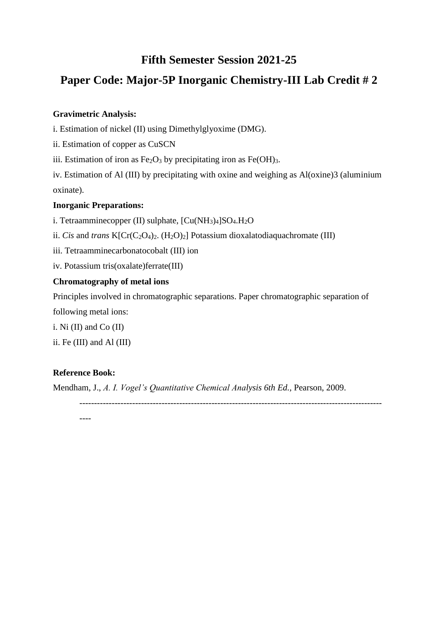# **Fifth Semester Session 2021-25**

# **Paper Code: Major-5P Inorganic Chemistry-III Lab Credit # 2**

# **Gravimetric Analysis:**

i. Estimation of nickel (II) using Dimethylglyoxime (DMG).

ii. Estimation of copper as CuSCN

iii. Estimation of iron as  $Fe<sub>2</sub>O<sub>3</sub>$  by precipitating iron as  $Fe(OH)<sub>3</sub>$ .

iv. Estimation of Al (III) by precipitating with oxine and weighing as Al(oxine)3 (aluminium oxinate).

# **Inorganic Preparations:**

i. Tetraamminecopper (II) sulphate,  $[Cu(NH<sub>3</sub>)<sub>4</sub>]SO<sub>4</sub>.H<sub>2</sub>O$ 

ii. *Cis* and *trans* K[Cr(C<sub>2</sub>O<sub>4</sub>)<sub>2</sub>. (H<sub>2</sub>O)<sub>2</sub>] Potassium dioxalatodiaquachromate (III)

iii. Tetraamminecarbonatocobalt (III) ion

iv. Potassium tris(oxalate)ferrate(III)

# **Chromatography of metal ions**

Principles involved in chromatographic separations. Paper chromatographic separation of

following metal ions:

i. Ni (II) and Co (II)

ii. Fe (III) and Al (III)

# **Reference Book:**

Mendham, J., *A. I. Vogel's Quantitative Chemical Analysis 6th Ed.*, Pearson, 2009.

-------------------------------------------------------------------------------------------------------

----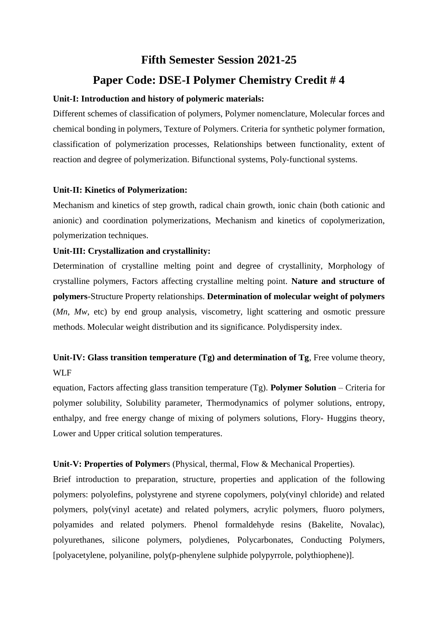# **Fifth Semester Session 2021-25 Paper Code: DSE-I Polymer Chemistry Credit # 4**

## **Unit-I: Introduction and history of polymeric materials:**

Different schemes of classification of polymers, Polymer nomenclature, Molecular forces and chemical bonding in polymers, Texture of Polymers. Criteria for synthetic polymer formation, classification of polymerization processes, Relationships between functionality, extent of reaction and degree of polymerization. Bifunctional systems, Poly-functional systems.

## **Unit-II: Kinetics of Polymerization:**

Mechanism and kinetics of step growth, radical chain growth, ionic chain (both cationic and anionic) and coordination polymerizations, Mechanism and kinetics of copolymerization, polymerization techniques.

## **Unit-III: Crystallization and crystallinity:**

Determination of crystalline melting point and degree of crystallinity, Morphology of crystalline polymers, Factors affecting crystalline melting point. **Nature and structure of polymers**-Structure Property relationships. **Determination of molecular weight of polymers**  (*Mn*, *Mw*, etc) by end group analysis, viscometry, light scattering and osmotic pressure methods. Molecular weight distribution and its significance. Polydispersity index.

# **Unit-IV: Glass transition temperature (Tg) and determination of Tg**, Free volume theory, WLF

equation, Factors affecting glass transition temperature (Tg). **Polymer Solution** – Criteria for polymer solubility, Solubility parameter, Thermodynamics of polymer solutions, entropy, enthalpy, and free energy change of mixing of polymers solutions, Flory- Huggins theory, Lower and Upper critical solution temperatures.

# **Unit-V: Properties of Polymer**s (Physical, thermal, Flow & Mechanical Properties).

Brief introduction to preparation, structure, properties and application of the following polymers: polyolefins, polystyrene and styrene copolymers, poly(vinyl chloride) and related polymers, poly(vinyl acetate) and related polymers, acrylic polymers, fluoro polymers, polyamides and related polymers. Phenol formaldehyde resins (Bakelite, Novalac), polyurethanes, silicone polymers, polydienes, Polycarbonates, Conducting Polymers, [polyacetylene, polyaniline, poly(p-phenylene sulphide polypyrrole, polythiophene)].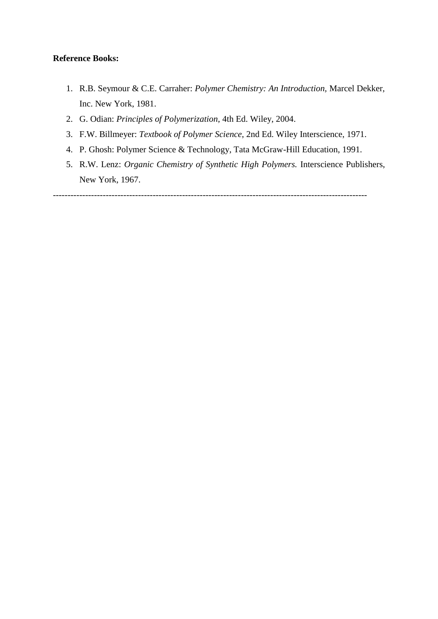### **Reference Books:**

- 1. R.B. Seymour & C.E. Carraher: *Polymer Chemistry: An Introduction,* Marcel Dekker, Inc. New York, 1981.
- 2. G. Odian: *Principles of Polymerization*, 4th Ed. Wiley, 2004.
- 3. F.W. Billmeyer: *Textbook of Polymer Science*, 2nd Ed. Wiley Interscience, 1971.
- 4. P. Ghosh: Polymer Science & Technology, Tata McGraw-Hill Education, 1991.
- 5. R.W. Lenz: *Organic Chemistry of Synthetic High Polymers.* Interscience Publishers, New York, 1967.

-----------------------------------------------------------------------------------------------------------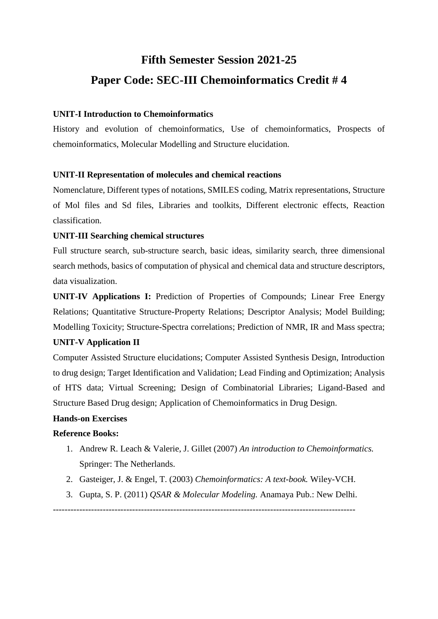# **Fifth Semester Session 2021-25 Paper Code: SEC-III Chemoinformatics Credit # 4**

## **UNIT-I Introduction to Chemoinformatics**

History and evolution of chemoinformatics, Use of chemoinformatics, Prospects of chemoinformatics, Molecular Modelling and Structure elucidation.

## **UNIT-II Representation of molecules and chemical reactions**

Nomenclature, Different types of notations, SMILES coding, Matrix representations, Structure of Mol files and Sd files, Libraries and toolkits, Different electronic effects, Reaction classification.

### **UNIT-III Searching chemical structures**

Full structure search, sub-structure search, basic ideas, similarity search, three dimensional search methods, basics of computation of physical and chemical data and structure descriptors, data visualization.

**UNIT-IV Applications I:** Prediction of Properties of Compounds; Linear Free Energy Relations; Quantitative Structure-Property Relations; Descriptor Analysis; Model Building; Modelling Toxicity; Structure-Spectra correlations; Prediction of NMR, IR and Mass spectra;

### **UNIT-V Application II**

Computer Assisted Structure elucidations; Computer Assisted Synthesis Design, Introduction to drug design; Target Identification and Validation; Lead Finding and Optimization; Analysis of HTS data; Virtual Screening; Design of Combinatorial Libraries; Ligand-Based and Structure Based Drug design; Application of Chemoinformatics in Drug Design.

### **Hands-on Exercises**

# **Reference Books:**

- 1. Andrew R. Leach & Valerie, J. Gillet (2007) *An introduction to Chemoinformatics.* Springer: The Netherlands.
- 2. Gasteiger, J. & Engel, T. (2003) *Chemoinformatics: A text-book.* Wiley-VCH.
- 3. Gupta, S. P. (2011) *QSAR & Molecular Modeling.* Anamaya Pub.: New Delhi.

-------------------------------------------------------------------------------------------------------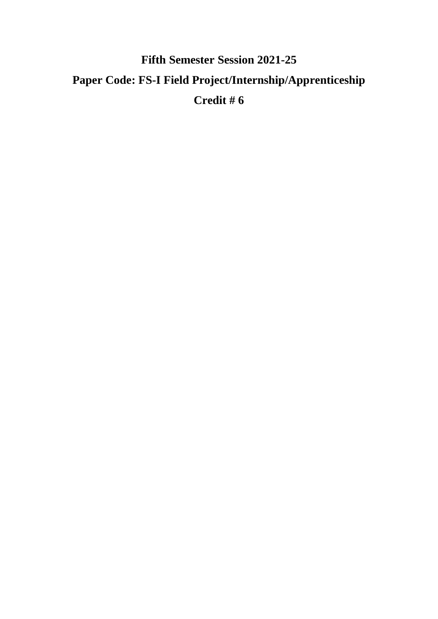# **Fifth Semester Session 2021-25 Paper Code: FS-I Field Project/Internship/Apprenticeship Credit # 6**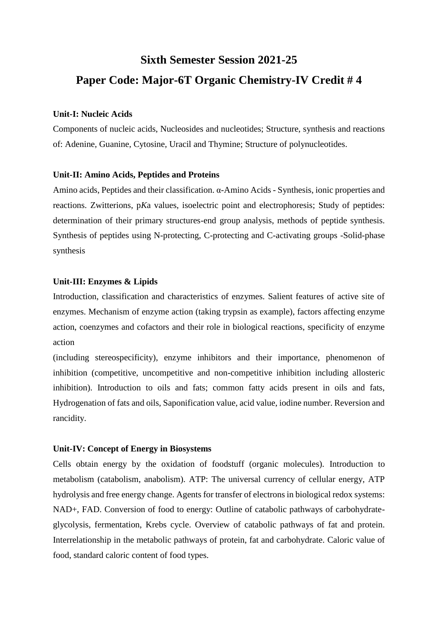# **Sixth Semester Session 2021-25 Paper Code: Major-6T Organic Chemistry-IV Credit # 4**

#### **Unit-I: Nucleic Acids**

Components of nucleic acids, Nucleosides and nucleotides; Structure, synthesis and reactions of: Adenine, Guanine, Cytosine, Uracil and Thymine; Structure of polynucleotides.

#### **Unit-II: Amino Acids, Peptides and Proteins**

Amino acids, Peptides and their classification. α-Amino Acids - Synthesis, ionic properties and reactions. Zwitterions, p*K*a values, isoelectric point and electrophoresis; Study of peptides: determination of their primary structures-end group analysis, methods of peptide synthesis. Synthesis of peptides using N-protecting, C-protecting and C-activating groups -Solid-phase synthesis

#### **Unit-III: Enzymes & Lipids**

Introduction, classification and characteristics of enzymes. Salient features of active site of enzymes. Mechanism of enzyme action (taking trypsin as example), factors affecting enzyme action, coenzymes and cofactors and their role in biological reactions, specificity of enzyme action

(including stereospecificity), enzyme inhibitors and their importance, phenomenon of inhibition (competitive, uncompetitive and non-competitive inhibition including allosteric inhibition). Introduction to oils and fats; common fatty acids present in oils and fats, Hydrogenation of fats and oils, Saponification value, acid value, iodine number. Reversion and rancidity.

#### **Unit-IV: Concept of Energy in Biosystems**

Cells obtain energy by the oxidation of foodstuff (organic molecules). Introduction to metabolism (catabolism, anabolism). ATP: The universal currency of cellular energy, ATP hydrolysis and free energy change. Agents for transfer of electrons in biological redox systems: NAD+, FAD. Conversion of food to energy: Outline of catabolic pathways of carbohydrateglycolysis, fermentation, Krebs cycle. Overview of catabolic pathways of fat and protein. Interrelationship in the metabolic pathways of protein, fat and carbohydrate. Caloric value of food, standard caloric content of food types.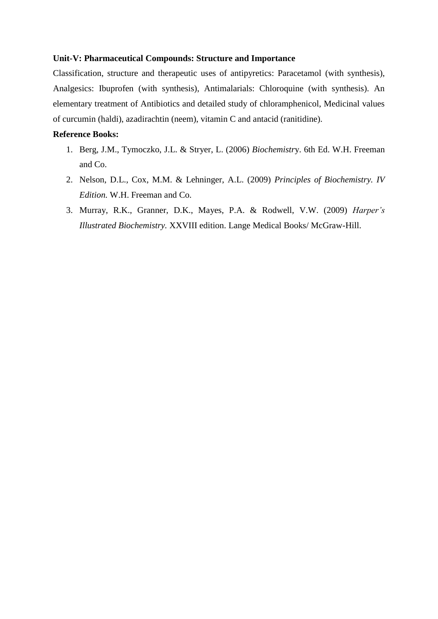#### **Unit-V: Pharmaceutical Compounds: Structure and Importance**

Classification, structure and therapeutic uses of antipyretics: Paracetamol (with synthesis), Analgesics: Ibuprofen (with synthesis), Antimalarials: Chloroquine (with synthesis). An elementary treatment of Antibiotics and detailed study of chloramphenicol, Medicinal values of curcumin (haldi), azadirachtin (neem), vitamin C and antacid (ranitidine).

## **Reference Books:**

- 1. Berg, J.M., Tymoczko, J.L. & Stryer, L. (2006) *Biochemistr*y. 6th Ed. W.H. Freeman and Co.
- 2. Nelson, D.L., Cox, M.M. & Lehninger, A.L. (2009) *Principles of Biochemistry. IV Edition.* W.H. Freeman and Co.
- 3. Murray, R.K., Granner, D.K., Mayes, P.A. & Rodwell, V.W. (2009) *Harper's Illustrated Biochemistry.* XXVIII edition. Lange Medical Books/ McGraw-Hill.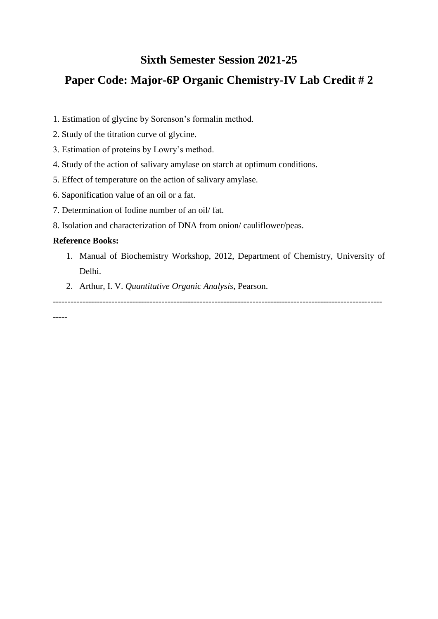# **Sixth Semester Session 2021-25**

# **Paper Code: Major-6P Organic Chemistry-IV Lab Credit # 2**

- 1. Estimation of glycine by Sorenson's formalin method.
- 2. Study of the titration curve of glycine.
- 3. Estimation of proteins by Lowry's method.
- 4. Study of the action of salivary amylase on starch at optimum conditions.
- 5. Effect of temperature on the action of salivary amylase.
- 6. Saponification value of an oil or a fat.
- 7. Determination of Iodine number of an oil/ fat.
- 8. Isolation and characterization of DNA from onion/ cauliflower/peas.

# **Reference Books:**

- 1. Manual of Biochemistry Workshop, 2012, Department of Chemistry, University of Delhi.
- 2. Arthur, I. V. *Quantitative Organic Analysis,* Pearson.

----------------------------------------------------------------------------------------------------------------

-----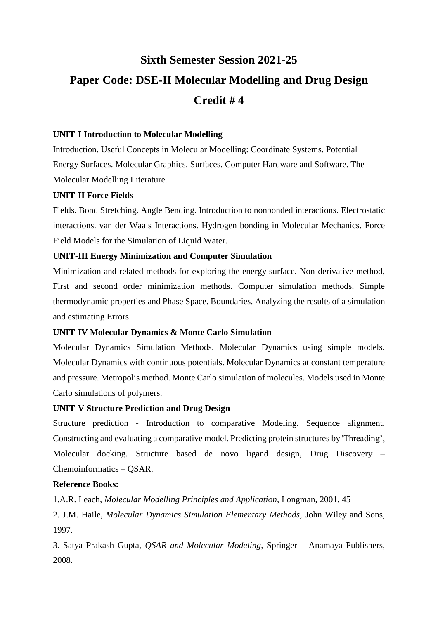# **Sixth Semester Session 2021-25 Paper Code: DSE-II Molecular Modelling and Drug Design Credit # 4**

## **UNIT-I Introduction to Molecular Modelling**

Introduction. Useful Concepts in Molecular Modelling: Coordinate Systems. Potential Energy Surfaces. Molecular Graphics. Surfaces. Computer Hardware and Software. The Molecular Modelling Literature.

### **UNIT-II Force Fields**

Fields. Bond Stretching. Angle Bending. Introduction to nonbonded interactions. Electrostatic interactions. van der Waals Interactions. Hydrogen bonding in Molecular Mechanics. Force Field Models for the Simulation of Liquid Water.

## **UNIT-III Energy Minimization and Computer Simulation**

Minimization and related methods for exploring the energy surface. Non-derivative method, First and second order minimization methods. Computer simulation methods. Simple thermodynamic properties and Phase Space. Boundaries. Analyzing the results of a simulation and estimating Errors.

# **UNIT-IV Molecular Dynamics & Monte Carlo Simulation**

Molecular Dynamics Simulation Methods. Molecular Dynamics using simple models. Molecular Dynamics with continuous potentials. Molecular Dynamics at constant temperature and pressure. Metropolis method. Monte Carlo simulation of molecules. Models used in Monte Carlo simulations of polymers.

### **UNIT-V Structure Prediction and Drug Design**

Structure prediction - Introduction to comparative Modeling. Sequence alignment. Constructing and evaluating a comparative model. Predicting protein structures by 'Threading', Molecular docking. Structure based de novo ligand design, Drug Discovery – Chemoinformatics – QSAR.

### **Reference Books:**

1.A.R. Leach, *Molecular Modelling Principles and Application*, Longman, 2001. 45

2. J.M. Haile, *Molecular Dynamics Simulation Elementary Methods*, John Wiley and Sons, 1997.

3. Satya Prakash Gupta, *QSAR and Molecular Modeling*, Springer – Anamaya Publishers, 2008.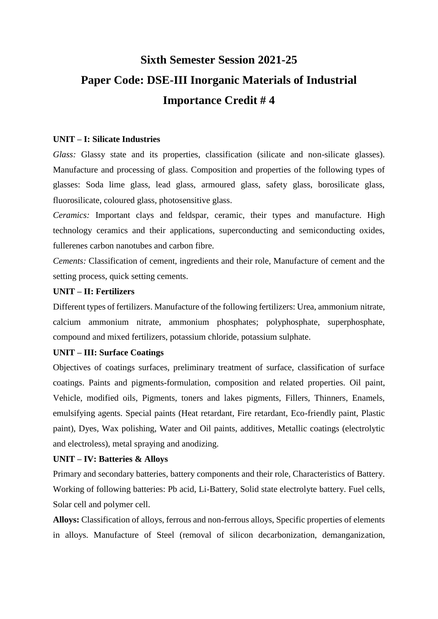# **Sixth Semester Session 2021-25 Paper Code: DSE-III Inorganic Materials of Industrial Importance Credit # 4**

### **UNIT – I: Silicate Industries**

Glass: Glassy state and its properties, classification (silicate and non-silicate glasses). Manufacture and processing of glass. Composition and properties of the following types of glasses: Soda lime glass, lead glass, armoured glass, safety glass, borosilicate glass, fluorosilicate, coloured glass, photosensitive glass.

*Ceramics:* Important clays and feldspar, ceramic, their types and manufacture. High technology ceramics and their applications, superconducting and semiconducting oxides, fullerenes carbon nanotubes and carbon fibre.

*Cements:* Classification of cement, ingredients and their role, Manufacture of cement and the setting process, quick setting cements.

#### **UNIT – II: Fertilizers**

Different types of fertilizers. Manufacture of the following fertilizers: Urea, ammonium nitrate, calcium ammonium nitrate, ammonium phosphates; polyphosphate, superphosphate, compound and mixed fertilizers, potassium chloride, potassium sulphate.

## **UNIT – III: Surface Coatings**

Objectives of coatings surfaces, preliminary treatment of surface, classification of surface coatings. Paints and pigments-formulation, composition and related properties. Oil paint, Vehicle, modified oils, Pigments, toners and lakes pigments, Fillers, Thinners, Enamels, emulsifying agents. Special paints (Heat retardant, Fire retardant, Eco-friendly paint, Plastic paint), Dyes, Wax polishing, Water and Oil paints, additives, Metallic coatings (electrolytic and electroless), metal spraying and anodizing.

### **UNIT – IV: Batteries & Alloys**

Primary and secondary batteries, battery components and their role, Characteristics of Battery. Working of following batteries: Pb acid, Li-Battery, Solid state electrolyte battery. Fuel cells, Solar cell and polymer cell.

**Alloys:** Classification of alloys, ferrous and non-ferrous alloys, Specific properties of elements in alloys. Manufacture of Steel (removal of silicon decarbonization, demanganization,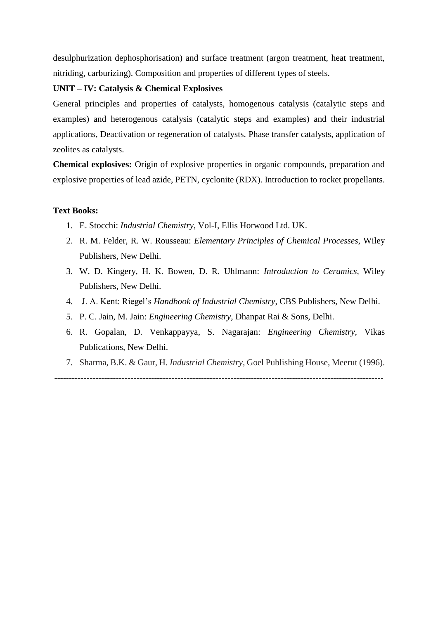desulphurization dephosphorisation) and surface treatment (argon treatment, heat treatment, nitriding, carburizing). Composition and properties of different types of steels.

# **UNIT – IV: Catalysis & Chemical Explosives**

General principles and properties of catalysts, homogenous catalysis (catalytic steps and examples) and heterogenous catalysis (catalytic steps and examples) and their industrial applications, Deactivation or regeneration of catalysts. Phase transfer catalysts, application of zeolites as catalysts.

**Chemical explosives:** Origin of explosive properties in organic compounds, preparation and explosive properties of lead azide, PETN, cyclonite (RDX). Introduction to rocket propellants.

#### **Text Books:**

- 1. E. Stocchi: *Industrial Chemistry*, Vol-I, Ellis Horwood Ltd. UK.
- 2. R. M. Felder, R. W. Rousseau: *Elementary Principles of Chemical Processes*, Wiley Publishers, New Delhi.
- 3. W. D. Kingery, H. K. Bowen, D. R. Uhlmann: *Introduction to Ceramics,* Wiley Publishers, New Delhi.
- 4. J. A. Kent: Riegel's *Handbook of Industrial Chemistry*, CBS Publishers, New Delhi.
- 5. P. C. Jain, M. Jain: *Engineering Chemistry,* Dhanpat Rai & Sons, Delhi.
- 6. R. Gopalan, D. Venkappayya, S. Nagarajan: *Engineering Chemistry,* Vikas Publications, New Delhi.
- 7. Sharma, B.K. & Gaur, H. *Industrial Chemistry,* Goel Publishing House, Meerut (1996).

----------------------------------------------------------------------------------------------------------------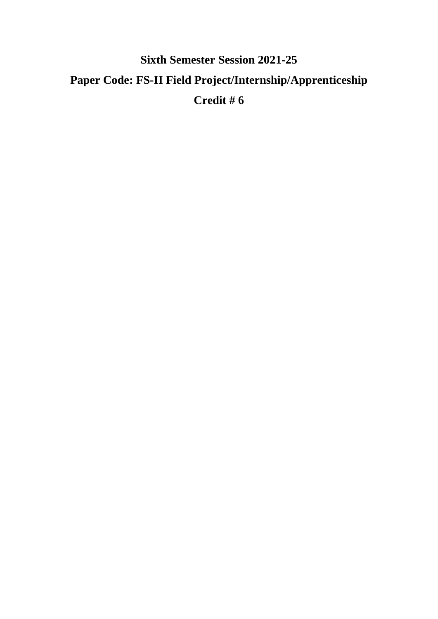# **Sixth Semester Session 2021-25 Paper Code: FS-II Field Project/Internship/Apprenticeship Credit # 6**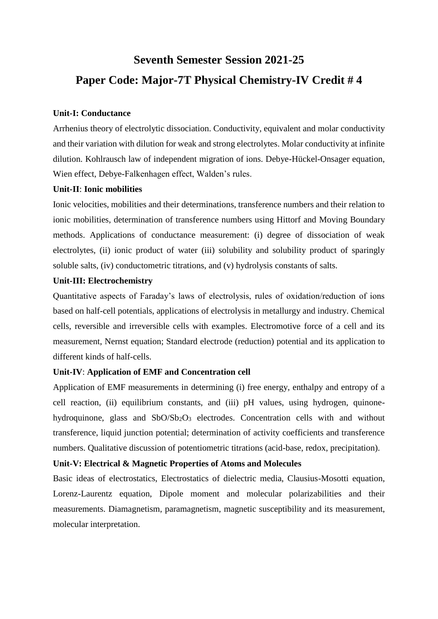# **Seventh Semester Session 2021-25 Paper Code: Major-7T Physical Chemistry-IV Credit # 4**

### **Unit-I: Conductance**

Arrhenius theory of electrolytic dissociation. Conductivity, equivalent and molar conductivity and their variation with dilution for weak and strong electrolytes. Molar conductivity at infinite dilution. Kohlrausch law of independent migration of ions. Debye-Hückel-Onsager equation, Wien effect, Debye-Falkenhagen effect, Walden's rules.

#### **Unit-II**: **Ionic mobilities**

Ionic velocities, mobilities and their determinations, transference numbers and their relation to ionic mobilities, determination of transference numbers using Hittorf and Moving Boundary methods. Applications of conductance measurement: (i) degree of dissociation of weak electrolytes, (ii) ionic product of water (iii) solubility and solubility product of sparingly soluble salts, (iv) conductometric titrations, and (v) hydrolysis constants of salts.

#### **Unit-III: Electrochemistry**

Quantitative aspects of Faraday's laws of electrolysis, rules of oxidation/reduction of ions based on half-cell potentials, applications of electrolysis in metallurgy and industry. Chemical cells, reversible and irreversible cells with examples. Electromotive force of a cell and its measurement, Nernst equation; Standard electrode (reduction) potential and its application to different kinds of half-cells.

### **Unit-IV**: **Application of EMF and Concentration cell**

Application of EMF measurements in determining (i) free energy, enthalpy and entropy of a cell reaction, (ii) equilibrium constants, and (iii) pH values, using hydrogen, quinonehydroquinone, glass and SbO/Sb<sub>2</sub>O<sub>3</sub> electrodes. Concentration cells with and without transference, liquid junction potential; determination of activity coefficients and transference numbers. Qualitative discussion of potentiometric titrations (acid-base, redox, precipitation).

#### **Unit-V: Electrical & Magnetic Properties of Atoms and Molecules**

Basic ideas of electrostatics, Electrostatics of dielectric media, Clausius-Mosotti equation, Lorenz-Laurentz equation, Dipole moment and molecular polarizabilities and their measurements. Diamagnetism, paramagnetism, magnetic susceptibility and its measurement, molecular interpretation.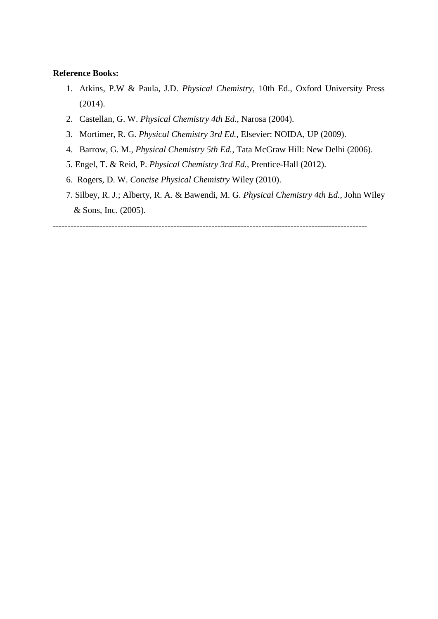### **Reference Books:**

- 1. Atkins, P.W & Paula, J.D. *Physical Chemistry*, 10th Ed., Oxford University Press (2014).
- 2. Castellan, G. W. *Physical Chemistry 4th Ed.,* Narosa (2004).
- 3. Mortimer, R. G. *Physical Chemistry 3rd Ed.,* Elsevier: NOIDA, UP (2009).
- 4. Barrow, G. M., *Physical Chemistry 5th Ed.,* Tata McGraw Hill: New Delhi (2006).
- 5. Engel, T. & Reid, P. *Physical Chemistry 3rd Ed.,* Prentice-Hall (2012).
- 6. Rogers, D. W. *Concise Physical Chemistry* Wiley (2010).
- 7. Silbey, R. J.; Alberty, R. A. & Bawendi, M. G. *Physical Chemistry 4th Ed.,* John Wiley & Sons, Inc. (2005).

-----------------------------------------------------------------------------------------------------------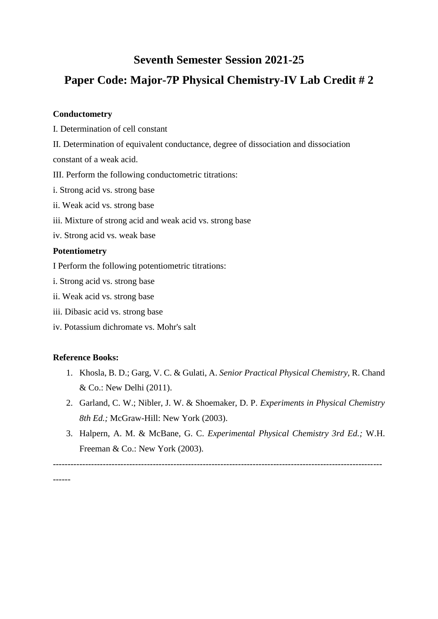# **Seventh Semester Session 2021-25**

# **Paper Code: Major-7P Physical Chemistry-IV Lab Credit # 2**

### **Conductometry**

- I. Determination of cell constant
- II. Determination of equivalent conductance, degree of dissociation and dissociation
- constant of a weak acid.
- III. Perform the following conductometric titrations:
- i. Strong acid vs. strong base
- ii. Weak acid vs. strong base
- iii. Mixture of strong acid and weak acid vs. strong base
- iv. Strong acid vs. weak base

## **Potentiometry**

I Perform the following potentiometric titrations:

- i. Strong acid vs. strong base
- ii. Weak acid vs. strong base
- iii. Dibasic acid vs. strong base
- iv. Potassium dichromate vs. Mohr's salt

# **Reference Books:**

- 1. Khosla, B. D.; Garg, V. C. & Gulati, A. *Senior Practical Physical Chemistry,* R. Chand & Co.: New Delhi (2011).
- 2. Garland, C. W.; Nibler, J. W. & Shoemaker, D. P. *Experiments in Physical Chemistry 8th Ed.;* McGraw-Hill: New York (2003).
- 3. Halpern, A. M. & McBane, G. C. *Experimental Physical Chemistry 3rd Ed.;* W.H. Freeman & Co.: New York (2003).

----------------------------------------------------------------------------------------------------------------

------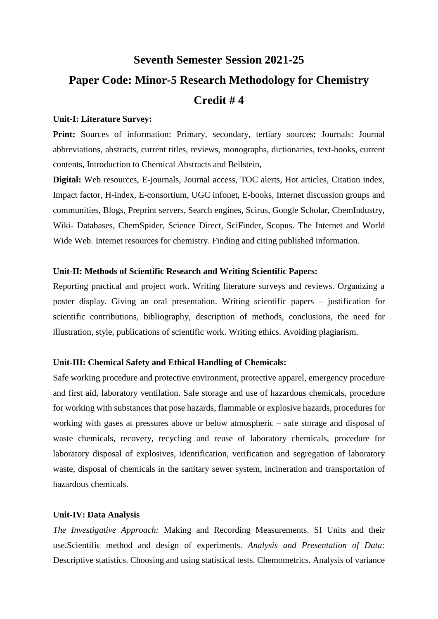# **Seventh Semester Session 2021-25 Paper Code: Minor-5 Research Methodology for Chemistry Credit # 4**

#### **Unit-I: Literature Survey:**

Print: Sources of information: Primary, secondary, tertiary sources; Journals: Journal abbreviations, abstracts, current titles, reviews, monographs, dictionaries, text-books, current contents, Introduction to Chemical Abstracts and Beilstein,

**Digital:** Web resources, E-journals, Journal access, TOC alerts, Hot articles, Citation index, Impact factor, H-index, E-consortium, UGC infonet, E-books, Internet discussion groups and communities, Blogs, Preprint servers, Search engines, Scirus, Google Scholar, ChemIndustry, Wiki- Databases, ChemSpider, Science Direct, SciFinder, Scopus. The Internet and World Wide Web. Internet resources for chemistry. Finding and citing published information.

### **Unit-II: Methods of Scientific Research and Writing Scientific Papers:**

Reporting practical and project work. Writing literature surveys and reviews. Organizing a poster display. Giving an oral presentation. Writing scientific papers – justification for scientific contributions, bibliography, description of methods, conclusions, the need for illustration, style, publications of scientific work. Writing ethics. Avoiding plagiarism.

### **Unit-III: Chemical Safety and Ethical Handling of Chemicals:**

Safe working procedure and protective environment, protective apparel, emergency procedure and first aid, laboratory ventilation. Safe storage and use of hazardous chemicals, procedure for working with substances that pose hazards, flammable or explosive hazards, procedures for working with gases at pressures above or below atmospheric – safe storage and disposal of waste chemicals, recovery, recycling and reuse of laboratory chemicals, procedure for laboratory disposal of explosives, identification, verification and segregation of laboratory waste, disposal of chemicals in the sanitary sewer system, incineration and transportation of hazardous chemicals.

#### **Unit-IV: Data Analysis**

*The Investigative Approach:* Making and Recording Measurements. SI Units and their use.Scientific method and design of experiments. *Analysis and Presentation of Data:*  Descriptive statistics. Choosing and using statistical tests. Chemometrics. Analysis of variance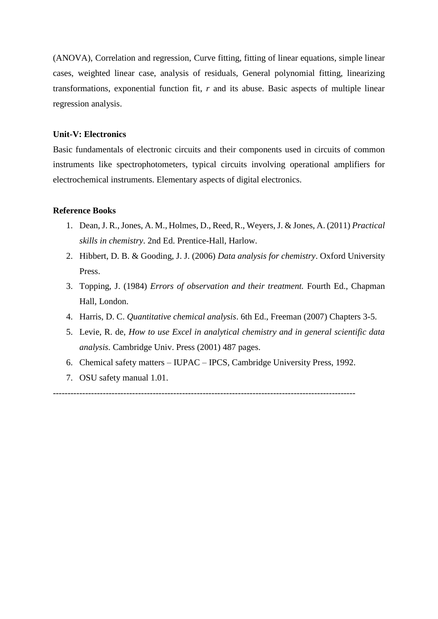(ANOVA), Correlation and regression, Curve fitting, fitting of linear equations, simple linear cases, weighted linear case, analysis of residuals, General polynomial fitting, linearizing transformations, exponential function fit, *r* and its abuse. Basic aspects of multiple linear regression analysis.

### **Unit-V: Electronics**

Basic fundamentals of electronic circuits and their components used in circuits of common instruments like spectrophotometers, typical circuits involving operational amplifiers for electrochemical instruments. Elementary aspects of digital electronics.

#### **Reference Books**

- 1. Dean, J. R., Jones, A. M., Holmes, D., Reed, R., Weyers, J. & Jones, A. (2011) *Practical skills in chemistry*. 2nd Ed. Prentice-Hall, Harlow.
- 2. Hibbert, D. B. & Gooding, J. J. (2006) *Data analysis for chemistry*. Oxford University Press.
- 3. Topping, J. (1984) *Errors of observation and their treatment.* Fourth Ed., Chapman Hall, London.
- 4. Harris, D. C. *Quantitative chemical analysis*. 6th Ed., Freeman (2007) Chapters 3-5.
- 5. Levie, R. de, *How to use Excel in analytical chemistry and in general scientific data analysis.* Cambridge Univ. Press (2001) 487 pages.
- 6. Chemical safety matters IUPAC IPCS, Cambridge University Press, 1992.
- 7. OSU safety manual 1.01.

-------------------------------------------------------------------------------------------------------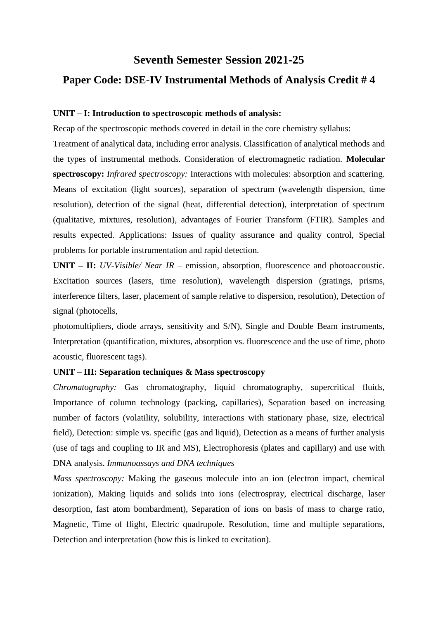# **Seventh Semester Session 2021-25 Paper Code: DSE-IV Instrumental Methods of Analysis Credit # 4**

#### **UNIT – I: Introduction to spectroscopic methods of analysis:**

Recap of the spectroscopic methods covered in detail in the core chemistry syllabus:

Treatment of analytical data, including error analysis. Classification of analytical methods and the types of instrumental methods. Consideration of electromagnetic radiation. **Molecular spectroscopy:** *Infrared spectroscopy:* Interactions with molecules: absorption and scattering. Means of excitation (light sources), separation of spectrum (wavelength dispersion, time resolution), detection of the signal (heat, differential detection), interpretation of spectrum (qualitative, mixtures, resolution), advantages of Fourier Transform (FTIR). Samples and results expected. Applications: Issues of quality assurance and quality control, Special problems for portable instrumentation and rapid detection.

**UNIT – II:** *UV-Visible/ Near IR* – emission, absorption, fluorescence and photoaccoustic. Excitation sources (lasers, time resolution), wavelength dispersion (gratings, prisms, interference filters, laser, placement of sample relative to dispersion, resolution), Detection of signal (photocells,

photomultipliers, diode arrays, sensitivity and S/N), Single and Double Beam instruments, Interpretation (quantification, mixtures, absorption vs. fluorescence and the use of time, photo acoustic, fluorescent tags).

### **UNIT – III: Separation techniques & Mass spectroscopy**

*Chromatography:* Gas chromatography, liquid chromatography, supercritical fluids, Importance of column technology (packing, capillaries), Separation based on increasing number of factors (volatility, solubility, interactions with stationary phase, size, electrical field), Detection: simple vs. specific (gas and liquid), Detection as a means of further analysis (use of tags and coupling to IR and MS), Electrophoresis (plates and capillary) and use with DNA analysis. *Immunoassays and DNA techniques*

*Mass spectroscopy:* Making the gaseous molecule into an ion (electron impact, chemical ionization), Making liquids and solids into ions (electrospray, electrical discharge, laser desorption, fast atom bombardment), Separation of ions on basis of mass to charge ratio, Magnetic, Time of flight, Electric quadrupole. Resolution, time and multiple separations, Detection and interpretation (how this is linked to excitation).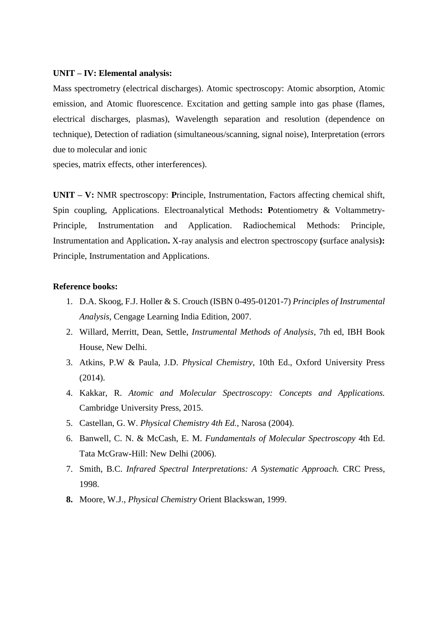#### **UNIT – IV: Elemental analysis:**

Mass spectrometry (electrical discharges). Atomic spectroscopy: Atomic absorption, Atomic emission, and Atomic fluorescence. Excitation and getting sample into gas phase (flames, electrical discharges, plasmas), Wavelength separation and resolution (dependence on technique), Detection of radiation (simultaneous/scanning, signal noise), Interpretation (errors due to molecular and ionic

species, matrix effects, other interferences).

**UNIT – V:** NMR spectroscopy: **P**rinciple, Instrumentation, Factors affecting chemical shift, Spin coupling, Applications. Electroanalytical Methods**: P**otentiometry & Voltammetry-Principle, Instrumentation and Application. Radiochemical Methods: Principle, Instrumentation and Application**.** X-ray analysis and electron spectroscopy **(**surface analysis**):**  Principle, Instrumentation and Applications.

### **Reference books:**

- 1. D.A. Skoog, F.J. Holler & S. Crouch (ISBN 0-495-01201-7) *Principles of Instrumental Analysis*, Cengage Learning India Edition, 2007.
- 2. Willard, Merritt, Dean, Settle, *Instrumental Methods of Analysis*, 7th ed, IBH Book House, New Delhi.
- 3. Atkins, P.W & Paula, J.D. *Physical Chemistry*, 10th Ed., Oxford University Press (2014).
- 4. Kakkar, R. *Atomic and Molecular Spectroscopy: Concepts and Applications.*  Cambridge University Press, 2015.
- 5. Castellan, G. W. *Physical Chemistry 4th Ed.,* Narosa (2004).
- 6. Banwell, C. N. & McCash, E. M. *Fundamentals of Molecular Spectroscopy* 4th Ed. Tata McGraw-Hill: New Delhi (2006).
- 7. Smith, B.C. *Infrared Spectral Interpretations: A Systematic Approach.* CRC Press, 1998.
- **8.** Moore, W.J., *Physical Chemistry* Orient Blackswan, 1999.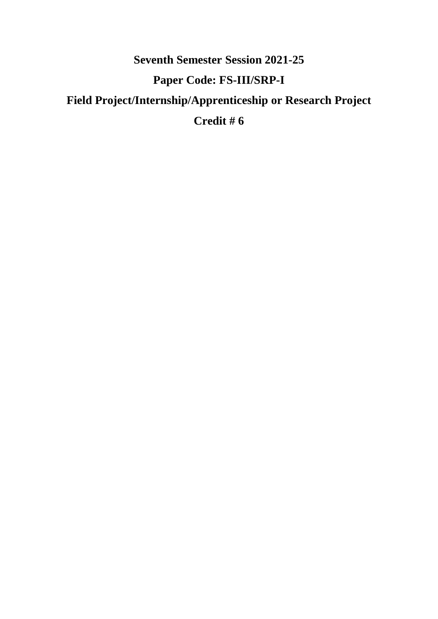# **Seventh Semester Session 2021-25 Paper Code: FS-III/SRP-I Field Project/Internship/Apprenticeship or Research Project Credit # 6**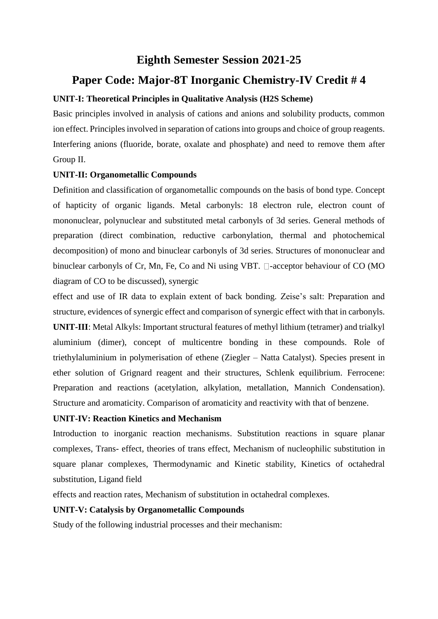# **Eighth Semester Session 2021-25**

# **Paper Code: Major-8T Inorganic Chemistry-IV Credit # 4**

# **UNIT-I: Theoretical Principles in Qualitative Analysis (H2S Scheme)**

Basic principles involved in analysis of cations and anions and solubility products, common ion effect. Principles involved in separation of cations into groups and choice of group reagents. Interfering anions (fluoride, borate, oxalate and phosphate) and need to remove them after Group II.

# **UNIT-II: Organometallic Compounds**

Definition and classification of organometallic compounds on the basis of bond type. Concept of hapticity of organic ligands. Metal carbonyls: 18 electron rule, electron count of mononuclear, polynuclear and substituted metal carbonyls of 3d series. General methods of preparation (direct combination, reductive carbonylation, thermal and photochemical decomposition) of mono and binuclear carbonyls of 3d series. Structures of mononuclear and binuclear carbonyls of Cr, Mn, Fe, Co and Ni using VBT.  $\Box$ -acceptor behaviour of CO (MO diagram of CO to be discussed), synergic

effect and use of IR data to explain extent of back bonding. Zeise's salt: Preparation and structure, evidences of synergic effect and comparison of synergic effect with that in carbonyls. **UNIT-III**: Metal Alkyls: Important structural features of methyl lithium (tetramer) and trialkyl aluminium (dimer), concept of multicentre bonding in these compounds. Role of triethylaluminium in polymerisation of ethene (Ziegler – Natta Catalyst). Species present in ether solution of Grignard reagent and their structures, Schlenk equilibrium. Ferrocene: Preparation and reactions (acetylation, alkylation, metallation, Mannich Condensation). Structure and aromaticity. Comparison of aromaticity and reactivity with that of benzene.

# **UNIT-IV: Reaction Kinetics and Mechanism**

Introduction to inorganic reaction mechanisms. Substitution reactions in square planar complexes, Trans- effect, theories of trans effect, Mechanism of nucleophilic substitution in square planar complexes, Thermodynamic and Kinetic stability, Kinetics of octahedral substitution, Ligand field

effects and reaction rates, Mechanism of substitution in octahedral complexes.

# **UNIT-V: Catalysis by Organometallic Compounds**

Study of the following industrial processes and their mechanism: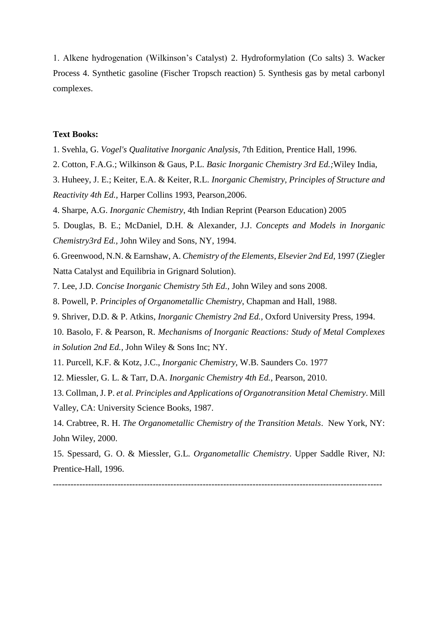1. Alkene hydrogenation (Wilkinson's Catalyst) 2. Hydroformylation (Co salts) 3. Wacker Process 4. Synthetic gasoline (Fischer Tropsch reaction) 5. Synthesis gas by metal carbonyl complexes.

#### **Text Books:**

- 1. Svehla, G. *Vogel's Qualitative Inorganic Analysis*, 7th Edition, Prentice Hall, 1996.
- 2. Cotton, F.A.G.; Wilkinson & Gaus, P.L. *Basic Inorganic Chemistry 3rd Ed.;*Wiley India,
- 3. Huheey, J. E.; Keiter, E.A. & Keiter, R.L. *Inorganic Chemistry, Principles of Structure and Reactivity 4th Ed.,* Harper Collins 1993, Pearson,2006.
- 4. Sharpe, A.G. *Inorganic Chemistry*, 4th Indian Reprint (Pearson Education) 2005
- 5. Douglas, B. E.; McDaniel, D.H. & Alexander, J.J. *Concepts and Models in Inorganic Chemistry3rd Ed.,* John Wiley and Sons, NY, 1994.

6. Greenwood, N.N. & Earnshaw, A. *Chemistry of the Elements*, *Elsevier 2nd Ed*, 1997 (Ziegler Natta Catalyst and Equilibria in Grignard Solution).

- 7. Lee, J.D. *Concise Inorganic Chemistry 5th Ed.,* John Wiley and sons 2008.
- 8. Powell, P. *Principles of Organometallic Chemistry*, Chapman and Hall, 1988.
- 9. Shriver, D.D. & P. Atkins, *Inorganic Chemistry 2nd Ed.,* Oxford University Press, 1994.

10. Basolo, F. & Pearson, R. *Mechanisms of Inorganic Reactions: Study of Metal Complexes in Solution 2nd Ed.,* John Wiley & Sons Inc; NY.

11. Purcell, K.F. & Kotz, J.C., *Inorganic Chemistry*, W.B. Saunders Co. 1977

12. Miessler, G. L. & Tarr, D.A. *Inorganic Chemistry 4th Ed.,* Pearson, 2010.

13. Collman, J. P. *et al. Principles and Applications of Organotransition Metal Chemistry*. Mill Valley, CA: University Science Books, 1987.

14. Crabtree, R. H. *The Organometallic Chemistry of the Transition Metals*. New York, NY: John Wiley, 2000.

15. Spessard, G. O. & Miessler, G.L. *Organometallic Chemistry*. Upper Saddle River, NJ: Prentice-Hall, 1996.

----------------------------------------------------------------------------------------------------------------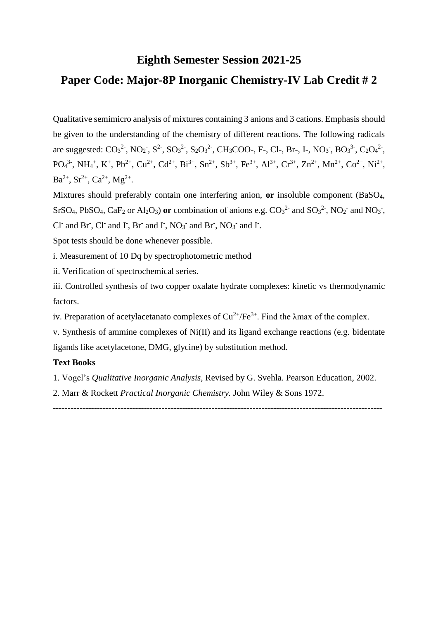# **Eighth Semester Session 2021-25**

# **Paper Code: Major-8P Inorganic Chemistry-IV Lab Credit # 2**

Qualitative semimicro analysis of mixtures containing 3 anions and 3 cations. Emphasis should be given to the understanding of the chemistry of different reactions. The following radicals are suggested:  $CO_3^2$ , NO<sub>2</sub>, S<sup>2</sup>, S<sub>2</sub>O<sub>3</sub><sup>2</sup>, S<sub>2</sub>O<sub>3</sub><sup>2</sup>, CH<sub>3</sub>COO-, F-, Cl-, Br-, I-, NO<sub>3</sub>, BO<sub>3</sub><sup>3-</sup>, C<sub>2</sub>O<sub>4</sub><sup>2-</sup>,  $PO_4^{3}$ , NH<sub>4</sub><sup>+</sup>, K<sup>+</sup>, Pb<sup>2+</sup>, Cu<sup>2+</sup>, Cd<sup>2+</sup>, Bi<sup>3+</sup>, Sn<sup>2+</sup>, Sb<sup>3+</sup>, Fe<sup>3+</sup>, Al<sup>3+</sup>, Cr<sup>3+</sup>, Zn<sup>2+</sup>, Mn<sup>2+</sup>, Co<sup>2+</sup>, Ni<sup>2+</sup>,  $Ba^{2+}$ ,  $Sr^{2+}$ ,  $Ca^{2+}$ ,  $Mg^{2+}$ .

Mixtures should preferably contain one interfering anion, **or** insoluble component (BaSO4, SrSO<sub>4</sub>, PbSO<sub>4</sub>, CaF<sub>2</sub> or Al<sub>2</sub>O<sub>3</sub>) or combination of anions e.g.  $CO<sub>3</sub><sup>2</sup>$  and SO<sub>3</sub><sup>2</sup>, NO<sub>2</sub><sup>-</sup> and NO<sub>3</sub><sup>-</sup>, Cl<sup>-</sup> and Br<sup>-</sup>, Cl<sup>-</sup> and I<sup>-</sup>, Br<sup>-</sup> and I<sup>-</sup>, NO<sub>3</sub><sup>-</sup> and Br<sup>-</sup>, NO<sub>3</sub><sup>-</sup> and I<sup>-</sup>.

Spot tests should be done whenever possible.

i. Measurement of 10 Dq by spectrophotometric method

ii. Verification of spectrochemical series.

iii. Controlled synthesis of two copper oxalate hydrate complexes: kinetic vs thermodynamic factors.

iv. Preparation of acetylacetanato complexes of  $Cu^{2+}/Fe^{3+}$ . Find the  $\lambda$ max of the complex.

v. Synthesis of ammine complexes of Ni(II) and its ligand exchange reactions (e.g. bidentate ligands like acetylacetone, DMG, glycine) by substitution method.

#### **Text Books**

1. Vogel's *Qualitative Inorganic Analysis,* Revised by G. Svehla. Pearson Education, 2002.

----------------------------------------------------------------------------------------------------------------

2. Marr & Rockett *Practical Inorganic Chemistry.* John Wiley & Sons 1972.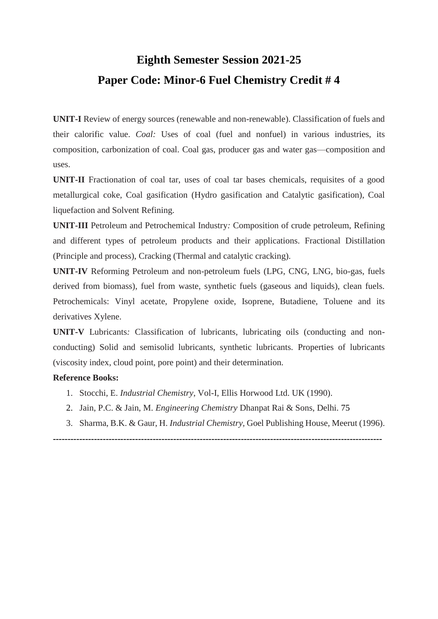# **Eighth Semester Session 2021-25 Paper Code: Minor-6 Fuel Chemistry Credit # 4**

**UNIT-I** Review of energy sources (renewable and non-renewable). Classification of fuels and their calorific value. *Coal:* Uses of coal (fuel and nonfuel) in various industries, its composition, carbonization of coal. Coal gas, producer gas and water gas—composition and uses.

**UNIT-II** Fractionation of coal tar, uses of coal tar bases chemicals, requisites of a good metallurgical coke, Coal gasification (Hydro gasification and Catalytic gasification), Coal liquefaction and Solvent Refining.

**UNIT-III** Petroleum and Petrochemical Industry*:* Composition of crude petroleum, Refining and different types of petroleum products and their applications. Fractional Distillation (Principle and process), Cracking (Thermal and catalytic cracking).

**UNIT-IV** Reforming Petroleum and non-petroleum fuels (LPG, CNG, LNG, bio-gas, fuels derived from biomass), fuel from waste, synthetic fuels (gaseous and liquids), clean fuels. Petrochemicals: Vinyl acetate, Propylene oxide, Isoprene, Butadiene, Toluene and its derivatives Xylene.

**UNIT-V** Lubricants*:* Classification of lubricants, lubricating oils (conducting and nonconducting) Solid and semisolid lubricants, synthetic lubricants. Properties of lubricants (viscosity index, cloud point, pore point) and their determination.

# **Reference Books:**

- 1. Stocchi, E. *Industrial Chemistry*, Vol-I, Ellis Horwood Ltd. UK (1990).
- 2. Jain, P.C. & Jain, M. *Engineering Chemistry* Dhanpat Rai & Sons, Delhi. 75
- 3. Sharma, B.K. & Gaur, H. *Industrial Chemistry,* Goel Publishing House, Meerut (1996).

**----------------------------------------------------------------------------------------------------------------**